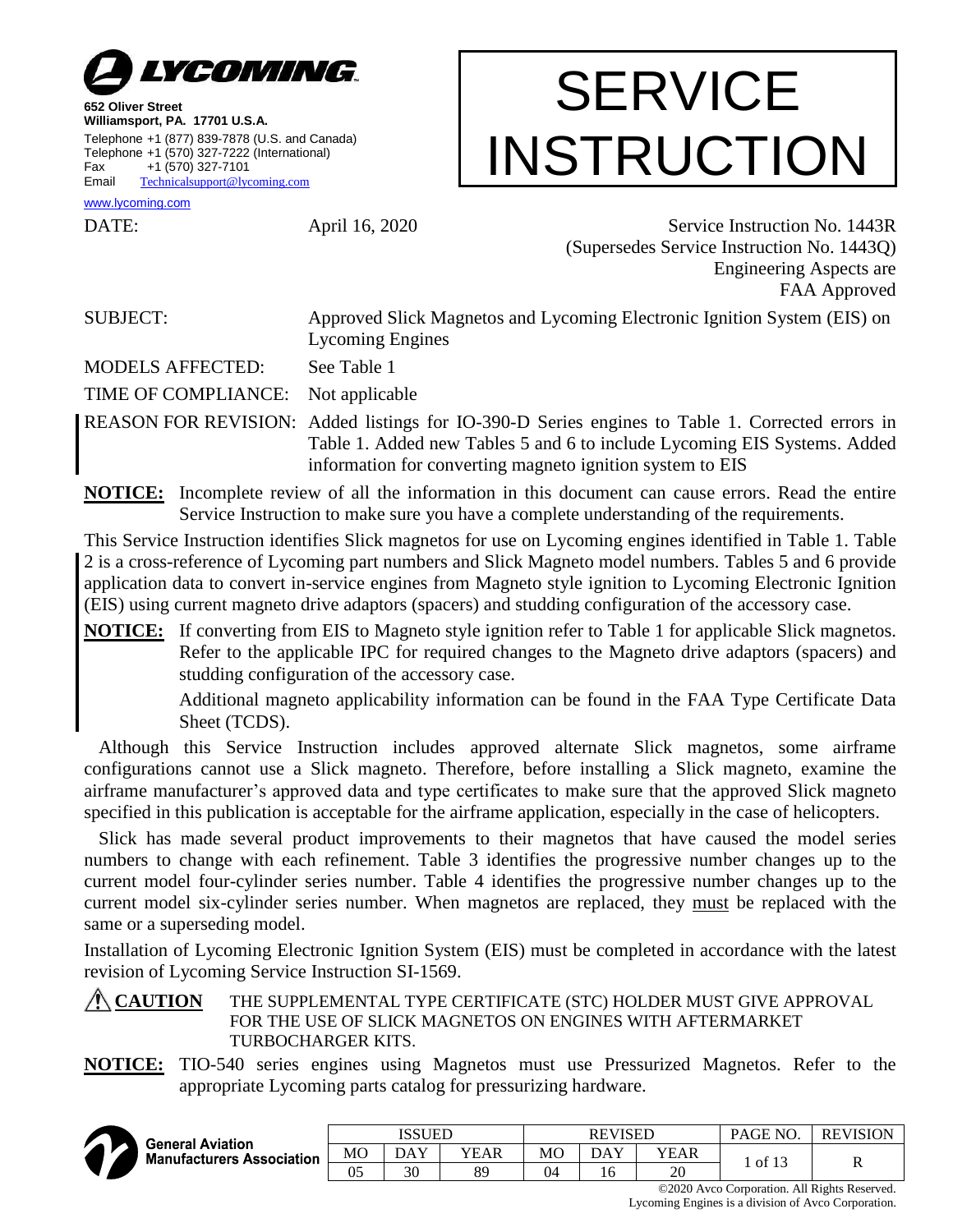

**652 Oliver Street Williamsport, PA. 17701 U.S.A.** Telephone +1 (877) 839-7878 (U.S. and Canada) Telephone +1 (570) 327-7222 (International) Fax +1 (570) 327-7101 Email [Technicalsupport@lycoming.com](mailto:Technicalsupport@lycoming.com)

## **SERVICE** INSTRUCTION

[www.lycoming.com](http://www.lycoming.com/)

DATE: April 16, 2020 Service Instruction No. 1443R (Supersedes Service Instruction No. 1443Q) Engineering Aspects are FAA Approved

SUBJECT: Approved Slick Magnetos and Lycoming Electronic Ignition System (EIS) on Lycoming Engines

MODELS AFFECTED: See Table 1

TIME OF COMPLIANCE: Not applicable

REASON FOR REVISION: Added listings for IO-390-D Series engines to Table 1. Corrected errors in Table 1. Added new Tables 5 and 6 to include Lycoming EIS Systems. Added information for converting magneto ignition system to EIS

**NOTICE:** Incomplete review of all the information in this document can cause errors. Read the entire Service Instruction to make sure you have a complete understanding of the requirements.

This Service Instruction identifies Slick magnetos for use on Lycoming engines identified in Table 1. Table 2 is a cross-reference of Lycoming part numbers and Slick Magneto model numbers. Tables 5 and 6 provide application data to convert in-service engines from Magneto style ignition to Lycoming Electronic Ignition (EIS) using current magneto drive adaptors (spacers) and studding configuration of the accessory case.

**NOTICE:** If converting from EIS to Magneto style ignition refer to Table 1 for applicable Slick magnetos. Refer to the applicable IPC for required changes to the Magneto drive adaptors (spacers) and studding configuration of the accessory case.

> Additional magneto applicability information can be found in the FAA Type Certificate Data Sheet (TCDS).

Although this Service Instruction includes approved alternate Slick magnetos, some airframe configurations cannot use a Slick magneto. Therefore, before installing a Slick magneto, examine the airframe manufacturer's approved data and type certificates to make sure that the approved Slick magneto specified in this publication is acceptable for the airframe application, especially in the case of helicopters.

Slick has made several product improvements to their magnetos that have caused the model series numbers to change with each refinement. Table 3 identifies the progressive number changes up to the current model four-cylinder series number. Table 4 identifies the progressive number changes up to the current model six-cylinder series number. When magnetos are replaced, they must be replaced with the same or a superseding model.

Installation of Lycoming Electronic Ignition System (EIS) must be completed in accordance with the latest revision of Lycoming Service Instruction SI-1569.

## **CAUTION** THE SUPPLEMENTAL TYPE CERTIFICATE (STC) HOLDER MUST GIVE APPROVAL FOR THE USE OF SLICK MAGNETOS ON ENGINES WITH AFTERMARKET TURBOCHARGER KITS.

**NOTICE:** TIO-540 series engines using Magnetos must use Pressurized Magnetos. Refer to the appropriate Lycoming parts catalog for pressurizing hardware.



| <b>General Aviation</b>          |    | ISSUED |      |    | <b>REVISED</b> |      | PAGE NO.            | <b>REVISION</b> |
|----------------------------------|----|--------|------|----|----------------|------|---------------------|-----------------|
| <b>Manufacturers Association</b> | МO | DAY    | YEAR | MO | <b>DAY</b>     | YEAR |                     | D               |
|                                  | 05 | 30     | 89   | 04 | 16             | 20   | . of 1 <sup>~</sup> | A               |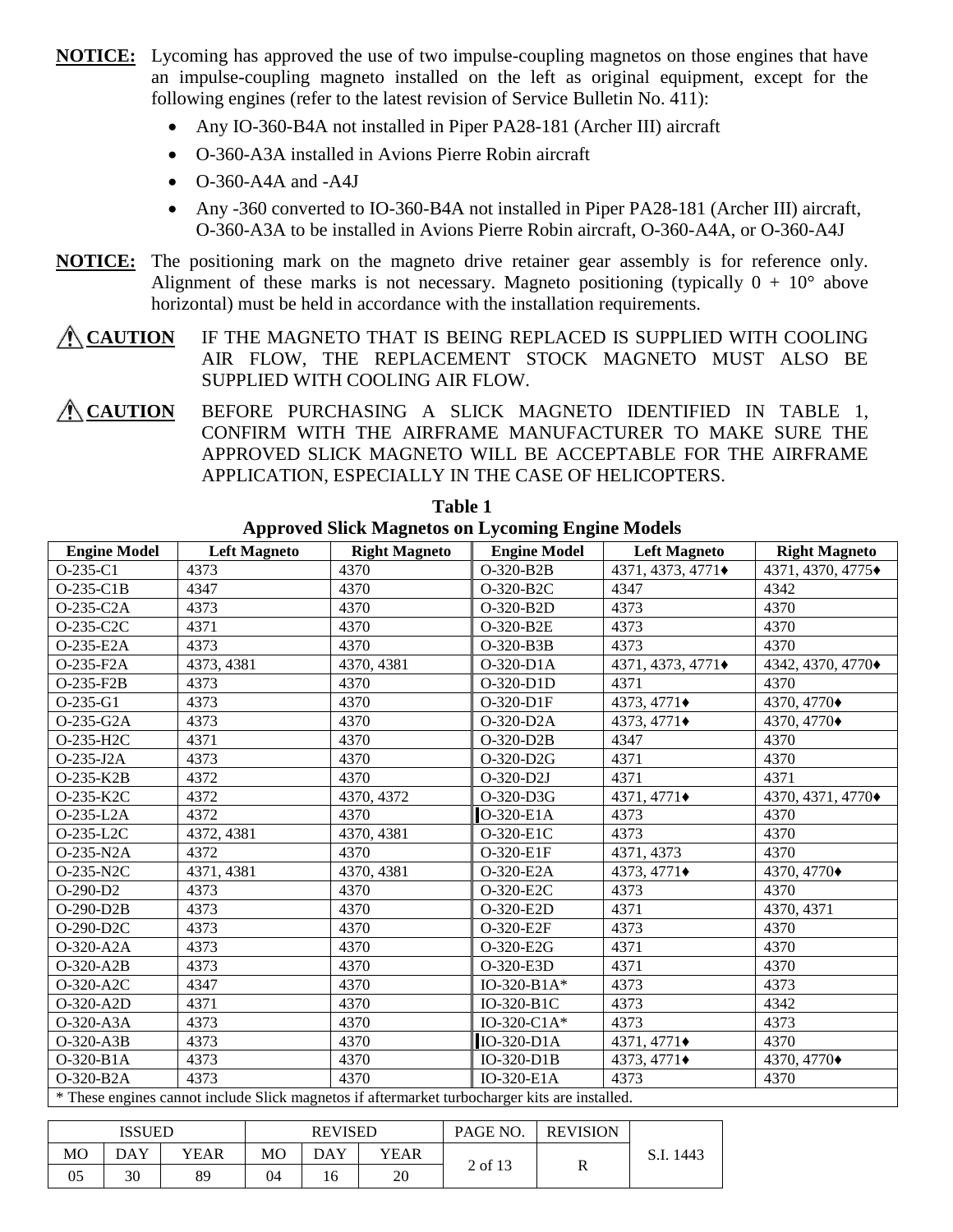- **NOTICE:** Lycoming has approved the use of two impulse-coupling magnetos on those engines that have an impulse-coupling magneto installed on the left as original equipment, except for the following engines (refer to the latest revision of Service Bulletin No. 411):
	- Any IO-360-B4A not installed in Piper PA28-181 (Archer III) aircraft
	- O-360-A3A installed in Avions Pierre Robin aircraft
	- O-360-A4A and -A4J
	- Any -360 converted to IO-360-B4A not installed in Piper PA28-181 (Archer III) aircraft, O-360-A3A to be installed in Avions Pierre Robin aircraft, O-360-A4A, or O-360-A4J
- **NOTICE:** The positioning mark on the magneto drive retainer gear assembly is for reference only. Alignment of these marks is not necessary. Magneto positioning (typically  $0 + 10^{\circ}$  above horizontal) must be held in accordance with the installation requirements.

**CAUTION** IF THE MAGNETO THAT IS BEING REPLACED IS SUPPLIED WITH COOLING AIR FLOW, THE REPLACEMENT STOCK MAGNETO MUST ALSO BE SUPPLIED WITH COOLING AIR FLOW.

**CAUTION** BEFORE PURCHASING A SLICK MAGNETO IDENTIFIED IN TABLE 1, CONFIRM WITH THE AIRFRAME MANUFACTURER TO MAKE SURE THE APPROVED SLICK MAGNETO WILL BE ACCEPTABLE FOR THE AIRFRAME APPLICATION, ESPECIALLY IN THE CASE OF HELICOPTERS.

| <b>Engine Model</b> | <b>Left Magneto</b>                                                                           | <b>Right Magneto</b> | <b>Engine Model</b> | <b>Left Magneto</b>        | <b>Right Magneto</b>       |
|---------------------|-----------------------------------------------------------------------------------------------|----------------------|---------------------|----------------------------|----------------------------|
| $O-235-C1$          | 4373                                                                                          | 4370                 | O-320-B2B           | 4371, 4373, 4771 $\bullet$ | 4371, 4370, 4775 $\bullet$ |
| $O-235-C1B$         | 4347                                                                                          | 4370                 | O-320-B2C           | 4347                       | 4342                       |
| O-235-C2A           | 4373                                                                                          | 4370                 | O-320-B2D           | 4373                       | 4370                       |
| O-235-C2C           | 4371                                                                                          | 4370                 | O-320-B2E           | 4373                       | 4370                       |
| O-235-E2A           | 4373                                                                                          | 4370                 | O-320-B3B           | 4373                       | 4370                       |
| O-235-F2A           | 4373, 4381                                                                                    | 4370, 4381           | O-320-D1A           | 4371, 4373, 4771 $\bullet$ | 4342, 4370, 4770 $\bullet$ |
| $O-235-F2B$         | 4373                                                                                          | 4370                 | O-320-D1D           | 4371                       | 4370                       |
| O-235-G1            | 4373                                                                                          | 4370                 | O-320-D1F           | 4373, 4771 $\bullet$       | 4370, 4770 $\bullet$       |
| O-235-G2A           | 4373                                                                                          | 4370                 | O-320-D2A           | 4373, 4771 $\bullet$       | 4370, 4770 $\bullet$       |
| O-235-H2C           | 4371                                                                                          | 4370                 | O-320-D2B           | 4347                       | 4370                       |
| O-235-J2A           | 4373                                                                                          | 4370                 | O-320-D2G           | 4371                       | 4370                       |
| O-235-K2B           | 4372                                                                                          | 4370                 | O-320-D2J           | 4371                       | 4371                       |
| O-235-K2C           | 4372                                                                                          | 4370, 4372           | O-320-D3G           | 4371, 4771 $\bullet$       | 4370, 4371, 4770 $\bullet$ |
| O-235-L2A           | 4372                                                                                          | 4370                 | O-320-E1A           | 4373                       | 4370                       |
| O-235-L2C           | 4372, 4381                                                                                    | 4370, 4381           | O-320-E1C           | 4373                       | 4370                       |
| O-235-N2A           | 4372                                                                                          | 4370                 | O-320-E1F           | 4371, 4373                 | 4370                       |
| O-235-N2C           | 4371, 4381                                                                                    | 4370, 4381           | O-320-E2A           | 4373, 4771 $\bullet$       | 4370, 4770 $\bullet$       |
| $O-290-D2$          | 4373                                                                                          | 4370                 | O-320-E2C           | 4373                       | 4370                       |
| $O-290-D2B$         | 4373                                                                                          | 4370                 | O-320-E2D           | 4371                       | 4370, 4371                 |
| O-290-D2C           | 4373                                                                                          | 4370                 | O-320-E2F           | 4373                       | 4370                       |
| O-320-A2A           | 4373                                                                                          | 4370                 | O-320-E2G           | 4371                       | 4370                       |
| O-320-A2B           | 4373                                                                                          | 4370                 | O-320-E3D           | 4371                       | 4370                       |
| O-320-A2C           | 4347                                                                                          | 4370                 | $IO-320-B1A*$       | 4373                       | 4373                       |
| O-320-A2D           | 4371                                                                                          | 4370                 | IO-320-B1C          | 4373                       | 4342                       |
| O-320-A3A           | 4373                                                                                          | 4370                 | IO-320-C1A $*$      | 4373                       | 4373                       |
| O-320-A3B           | 4373                                                                                          | 4370                 | IO-320-D1A          | 4371, 4771 $\bullet$       | 4370                       |
| O-320-B1A           | 4373                                                                                          | 4370                 | $IO-320-D1B$        | 4373, 4771 $\bullet$       | 4370, 4770 $\bullet$       |
| O-320-B2A           | 4373                                                                                          | 4370                 | IO-320-E1A          | 4373                       | 4370                       |
|                     | * These engines cannot include Slick magnetos if aftermarket turbocharger kits are installed. |                      |                     |                            |                            |

## **Table 1 Approved Slick Magnetos on Lycoming Engine Models**

\* These engines cannot include Slick magnetos if aftermarket turbocharger kits are installed.

|                | <b>ISSUED</b> |      | <b>REVISED</b> |     |      | PAGE NO | <b>REVISION</b> |              |
|----------------|---------------|------|----------------|-----|------|---------|-----------------|--------------|
| M <sub>O</sub> | DAY           | YEAR | MО             | DAY | YEAR |         |                 | 1443<br>S.I. |
| 05             | 30            | 89   | 04             | 16  | 20   | 2 of 13 | ĸ               |              |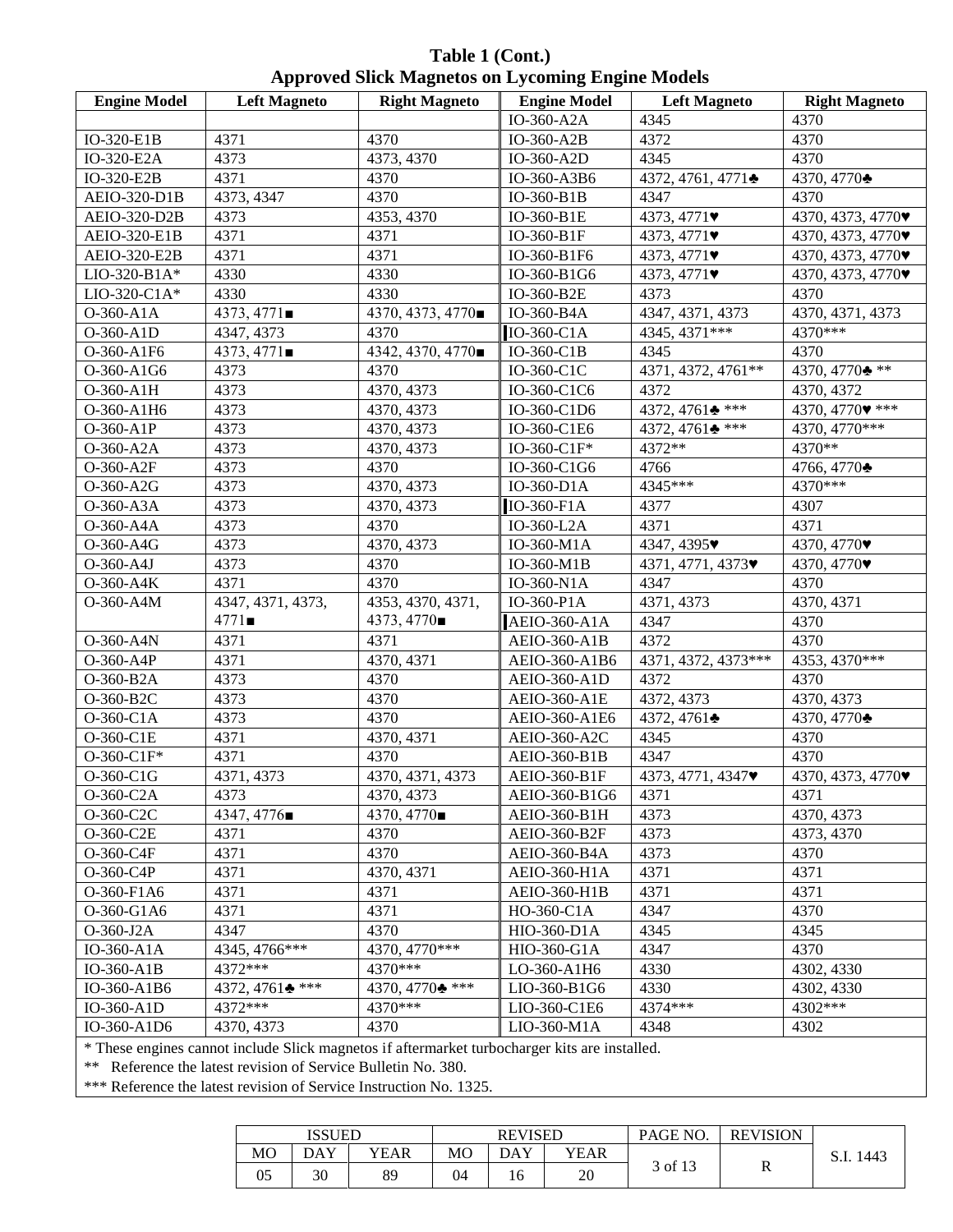**Table 1 (Cont.) Approved Slick Magnetos on Lycoming Engine Models**

| <b>Engine Model</b> | <b>Left Magneto</b> | <b>Right Magneto</b>     | <b>Engine Model</b> | <b>Left Magneto</b>                   | <b>Right Magneto</b>                  |
|---------------------|---------------------|--------------------------|---------------------|---------------------------------------|---------------------------------------|
|                     |                     |                          | IO-360-A2A          | 4345                                  | 4370                                  |
| IO-320-E1B          | 4371                | 4370                     | IO-360-A2B          | 4372                                  | 4370                                  |
| IO-320-E2A          | 4373                | 4373, 4370               | IO-360-A2D          | 4345                                  | 4370                                  |
| IO-320-E2B          | 4371                | 4370                     | IO-360-A3B6         | 4372, 4761, 4771 $\bullet$            | 4370, 4770 ♦                          |
| AEIO-320-D1B        | 4373, 4347          | 4370                     | IO-360-B1B          | 4347                                  | 4370                                  |
| AEIO-320-D2B        | 4373                | 4353, 4370               | IO-360-B1E          | 4373, 4771 $\blacktriangledown$       | 4370, 4373, 4770 $\blacktriangledown$ |
| AEIO-320-E1B        | 4371                | 4371                     | IO-360-B1F          | 4373, 4771 $\blacktriangledown$       | 4370, 4373, 4770 $\blacktriangledown$ |
| AEIO-320-E2B        | 4371                | 4371                     | IO-360-B1F6         | 4373, 4771 $\blacktriangledown$       | 4370, 4373, 4770 $\blacktriangledown$ |
| LIO-320-B1A*        | 4330                | 4330                     | IO-360-B1G6         | 4373, 4771 $\blacktriangledown$       | 4370, 4373, 4770 $\blacktriangledown$ |
| LIO-320-C1A*        | 4330                | 4330                     | IO-360-B2E          | 4373                                  | 4370                                  |
| O-360-A1A           | 4373, 4771          | 4370, 4373, 4770■        | IO-360-B4A          | 4347, 4371, 4373                      | 4370, 4371, 4373                      |
| O-360-A1D           | 4347, 4373          | 4370                     | IO-360-C1A          | 4345, 4371***                         | 4370***                               |
| O-360-A1F6          | 4373, 4771          | 4342, 4370, 4770         | $IO-360-C1B$        | 4345                                  | 4370                                  |
| O-360-A1G6          | 4373                | 4370                     | IO-360-C1C          | 4371, 4372, 4761**                    | 4370, 4770 $\bullet$ **               |
| O-360-A1H           | 4373                | 4370, 4373               | IO-360-C1C6         | 4372                                  | 4370, 4372                            |
| O-360-A1H6          | 4373                | 4370, 4373               | IO-360-C1D6         | 4372, 4761 $*$ ***                    | 4370, 4770 $\bullet$ ***              |
| O-360-A1P           | 4373                | 4370, 4373               | IO-360-C1E6         | 4372, 4761 $\bullet$ ***              | 4370, 4770***                         |
| O-360-A2A           | 4373                | 4370, 4373               | IO-360-C1F*         | 4372**                                | 4370**                                |
| O-360-A2F           | 4373                | 4370                     | IO-360-C1G6         | 4766                                  | 4766, 4770 $\clubsuit$                |
| O-360-A2G           | 4373                | 4370, 4373               | IO-360-D1A          | 4345***                               | 4370***                               |
| O-360-A3A           | 4373                | 4370, 4373               | IO-360-F1A          | 4377                                  | 4307                                  |
| O-360-A4A           | 4373                | 4370                     | IO-360-L2A          | 4371                                  | 4371                                  |
| O-360-A4G           | 4373                | 4370, 4373               | IO-360-M1A          | 4347, 4395 $\blacktriangledown$       | 4370, 4770 $\blacktriangledown$       |
| O-360-A4J           | 4373                | 4370                     | IO-360-M1B          | 4371, 4771, 4373                      | 4370, 4770                            |
| O-360-A4K           | 4371                | 4370                     | IO-360-N1A          | 4347                                  | 4370                                  |
| O-360-A4M           | 4347, 4371, 4373,   | 4353, 4370, 4371,        | IO-360-P1A          | 4371, 4373                            | 4370, 4371                            |
|                     | 4771                | 4373, 4770■              | <b>AEIO-360-A1A</b> | 4347                                  | 4370                                  |
| O-360-A4N           | 4371                | 4371                     | <b>AEIO-360-A1B</b> | 4372                                  | 4370                                  |
| O-360-A4P           | 4371                | 4370, 4371               | AEIO-360-A1B6       | 4371, 4372, 4373***                   | 4353, 4370***                         |
| O-360-B2A           | 4373                | 4370                     | <b>AEIO-360-A1D</b> | 4372                                  | 4370                                  |
| O-360-B2C           | 4373                | 4370                     | AEIO-360-A1E        | 4372, 4373                            | 4370, 4373                            |
| O-360-C1A           | 4373                | 4370                     | AEIO-360-A1E6       | 4372, 4761 $\bullet$                  | 4370, 4770 $\clubsuit$                |
| O-360-C1E           | 4371                | 4370, 4371               | AEIO-360-A2C        | 4345                                  | 4370                                  |
| O-360-C1F*          | 4371                | 4370                     | AEIO-360-B1B        | 4347                                  | 4370                                  |
| O-360-C1G           | 4371, 4373          | 4370, 4371, 4373         | AEIO-360-B1F        | 4373, 4771, 4347 $\blacktriangledown$ | 4370, 4373, 4770 $\blacktriangledown$ |
| $O-360-C2A$         | 4373                | 4370, 4373               | AEIO-360-B1G6       | 4371                                  | 4371                                  |
| O-360-C2C           | 4347, 4776■         | 4370, 4770               | AEIO-360-B1H        | 4373                                  | 4370, 4373                            |
| O-360-C2E           | 4371                | 4370                     | AEIO-360-B2F        | 4373                                  | 4373, 4370                            |
| O-360-C4F           | 4371                | 4370                     | AEIO-360-B4A        | 4373                                  | 4370                                  |
| O-360-C4P           | 4371                | 4370, 4371               | <b>AEIO-360-H1A</b> | 4371                                  | 4371                                  |
| O-360-F1A6          | 4371                | 4371                     | <b>AEIO-360-H1B</b> | 4371                                  | 4371                                  |
| O-360-G1A6          | 4371                | 4371                     | HO-360-C1A          | 4347                                  | 4370                                  |
| O-360-J2A           | 4347                | 4370                     | HIO-360-D1A         | 4345                                  | 4345                                  |
| IO-360-A1A          | 4345, 4766***       | 4370, 4770***            | HIO-360-G1A         | 4347                                  | 4370                                  |
| $IO-360- A1B$       | 4372***             | 4370***                  | LO-360-A1H6         | 4330                                  | 4302, 4330                            |
| IO-360-A1B6         | 4372, 4761 $*$ ***  | 4370, 4770 $\bullet$ *** | LIO-360-B1G6        | 4330                                  | 4302, 4330                            |
| IO-360-A1D          | 4372***             | 4370***                  | LIO-360-C1E6        | 4374 ***                              | 4302***                               |
| IO-360-A1D6         | 4370, 4373          | 4370                     | LIO-360-M1A         | 4348                                  | 4302                                  |
|                     |                     |                          |                     |                                       |                                       |

\* These engines cannot include Slick magnetos if aftermarket turbocharger kits are installed.

\*\* Reference the latest revision of Service Bulletin No. 380.

\*\*\* Reference the latest revision of Service Instruction No. 1325.

|    | <b>ISSUED</b> |      | <b>REVISED</b> |     |      | PAGE NO. | <b>REVISION</b> |           |
|----|---------------|------|----------------|-----|------|----------|-----------------|-----------|
| MO | DAY           | YEAR | МO             | DAY | YEAR |          |                 | S.I. 1443 |
| 05 | 30            | 89   | 04             | 10  | 20   | 3 of 13  | v               |           |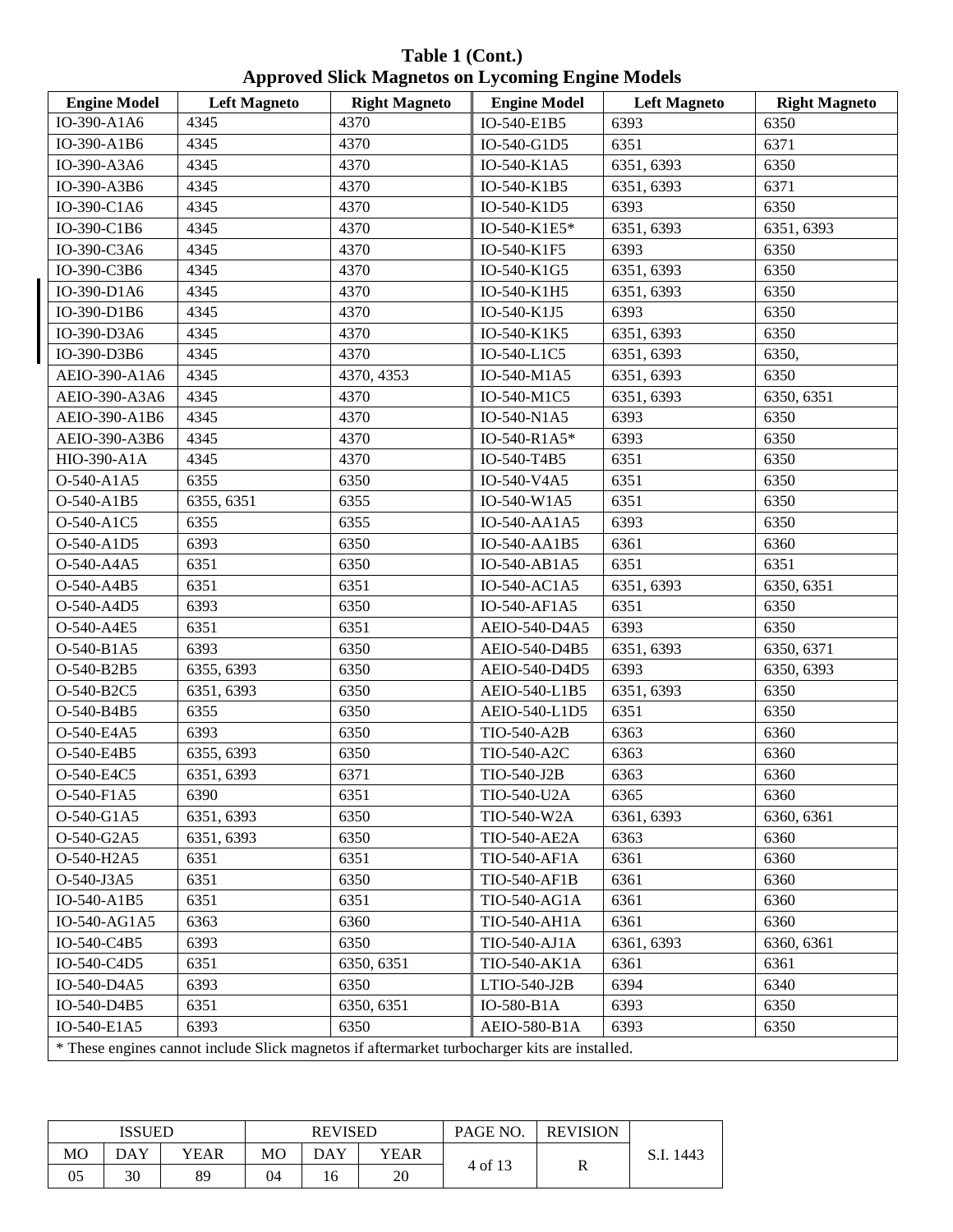**Table 1 (Cont.) Approved Slick Magnetos on Lycoming Engine Models**

| <b>Engine Model</b> | <b>Left Magneto</b>                                                                           | <b>Right Magneto</b> | <b>Engine Model</b> | <b>Left Magneto</b> | <b>Right Magneto</b> |
|---------------------|-----------------------------------------------------------------------------------------------|----------------------|---------------------|---------------------|----------------------|
| IO-390-A1A6         | 4345                                                                                          | 4370                 | IO-540-E1B5         | 6393                | 6350                 |
| IO-390-A1B6         | 4345                                                                                          | 4370                 | IO-540-G1D5         | 6351                | 6371                 |
| IO-390-A3A6         | 4345                                                                                          | 4370                 | IO-540-K1A5         | 6351, 6393          | 6350                 |
| IO-390-A3B6         | 4345                                                                                          | 4370                 | IO-540-K1B5         | 6351, 6393          | 6371                 |
| IO-390-C1A6         | 4345                                                                                          | 4370                 | IO-540-K1D5         | 6393                | 6350                 |
| IO-390-C1B6         | 4345                                                                                          | 4370                 | IO-540-K1E5*        | 6351, 6393          | 6351, 6393           |
| IO-390-C3A6         | 4345                                                                                          | 4370                 | IO-540-K1F5         | 6393                | 6350                 |
| IO-390-C3B6         | 4345                                                                                          | 4370                 | IO-540-K1G5         | 6351, 6393          | 6350                 |
| IO-390-D1A6         | 4345                                                                                          | 4370                 | IO-540-K1H5         | 6351, 6393          | 6350                 |
| IO-390-D1B6         | 4345                                                                                          | 4370                 | IO-540-K1J5         | 6393                | 6350                 |
| IO-390-D3A6         | 4345                                                                                          | 4370                 | IO-540-K1K5         | 6351, 6393          | 6350                 |
| IO-390-D3B6         | 4345                                                                                          | 4370                 | IO-540-L1C5         | 6351, 6393          | 6350,                |
| AEIO-390-A1A6       | 4345                                                                                          | 4370, 4353           | IO-540-M1A5         | 6351, 6393          | 6350                 |
| AEIO-390-A3A6       | 4345                                                                                          | 4370                 | IO-540-M1C5         | 6351, 6393          | 6350, 6351           |
| AEIO-390-A1B6       | 4345                                                                                          | 4370                 | IO-540-N1A5         | 6393                | 6350                 |
| AEIO-390-A3B6       | 4345                                                                                          | 4370                 | IO-540-R1A5*        | 6393                | 6350                 |
| HIO-390-A1A         | 4345                                                                                          | 4370                 | IO-540-T4B5         | 6351                | 6350                 |
| O-540-A1A5          | 6355                                                                                          | 6350                 | IO-540-V4A5         | 6351                | 6350                 |
| O-540-A1B5          | 6355, 6351                                                                                    | 6355                 | IO-540-W1A5         | 6351                | 6350                 |
| O-540-A1C5          | 6355                                                                                          | 6355                 | IO-540-AA1A5        | 6393                | 6350                 |
| O-540-A1D5          | 6393                                                                                          | 6350                 | IO-540-AA1B5        | 6361                | 6360                 |
| O-540-A4A5          | 6351                                                                                          | 6350                 | IO-540-AB1A5        | 6351                | 6351                 |
| O-540-A4B5          | 6351                                                                                          | 6351                 | IO-540-AC1A5        | 6351, 6393          | 6350, 6351           |
| O-540-A4D5          | 6393                                                                                          | 6350                 | IO-540-AF1A5        | 6351                | 6350                 |
| O-540-A4E5          | 6351                                                                                          | 6351                 | AEIO-540-D4A5       | 6393                | 6350                 |
| O-540-B1A5          | 6393                                                                                          | 6350                 | AEIO-540-D4B5       | 6351, 6393          | 6350, 6371           |
| O-540-B2B5          | 6355, 6393                                                                                    | 6350                 | AEIO-540-D4D5       | 6393                | 6350, 6393           |
| O-540-B2C5          | 6351, 6393                                                                                    | 6350                 | AEIO-540-L1B5       | 6351, 6393          | 6350                 |
| O-540-B4B5          | 6355                                                                                          | 6350                 | AEIO-540-L1D5       | 6351                | 6350                 |
| O-540-E4A5          | 6393                                                                                          | 6350                 | TIO-540-A2B         | 6363                | 6360                 |
| O-540-E4B5          | 6355, 6393                                                                                    | 6350                 | TIO-540-A2C         | 6363                | 6360                 |
| O-540-E4C5          | 6351, 6393                                                                                    | 6371                 | TIO-540-J2B         | 6363                | 6360                 |
| O-540-F1A5          | 6390                                                                                          | 6351                 | TIO-540-U2A         | 6365                | 6360                 |
| O-540-G1A5          | 6351, 6393                                                                                    | 6350                 | TIO-540-W2A         | 6361, 6393          | 6360, 6361           |
| O-540-G2A5          | 6351, 6393                                                                                    | 6350                 | <b>TIO-540-AE2A</b> | 6363                | 6360                 |
| O-540-H2A5          | 6351                                                                                          | 6351                 | TIO-540-AF1A        | 6361                | 6360                 |
| O-540-J3A5          | 6351                                                                                          | 6350                 | TIO-540-AF1B        | 6361                | 6360                 |
| IO-540-A1B5         | 6351                                                                                          | 6351                 | TIO-540-AG1A        | 6361                | 6360                 |
| IO-540-AG1A5        | 6363                                                                                          | 6360                 | TIO-540-AH1A        | 6361                | 6360                 |
| IO-540-C4B5         | 6393                                                                                          | 6350                 | TIO-540-AJ1A        | 6361, 6393          | 6360, 6361           |
| IO-540-C4D5         | 6351                                                                                          | 6350, 6351           | TIO-540-AK1A        | 6361                | 6361                 |
| IO-540-D4A5         | 6393                                                                                          | 6350                 | LTIO-540-J2B        | 6394                | 6340                 |
| IO-540-D4B5         | 6351                                                                                          | 6350, 6351           | IO-580-B1A          | 6393                | 6350                 |
| IO-540-E1A5         | 6393                                                                                          | 6350                 | AEIO-580-B1A        | 6393                | 6350                 |
|                     | * These engines cannot include Slick magnetos if aftermarket turbocharger kits are installed. |                      |                     |                     |                      |

|                | ISSUED |      | <b>REVISED</b> |     |      | PAGE NO. | <b>REVISION</b> |              |
|----------------|--------|------|----------------|-----|------|----------|-----------------|--------------|
| M <sub>O</sub> | DAY    | YEAR | MO             | DAY | YEAR |          |                 | 1443<br>S.I. |
| 05             | 30     | 89   | 04             | 16  | 20   | 4 of 13  | R               |              |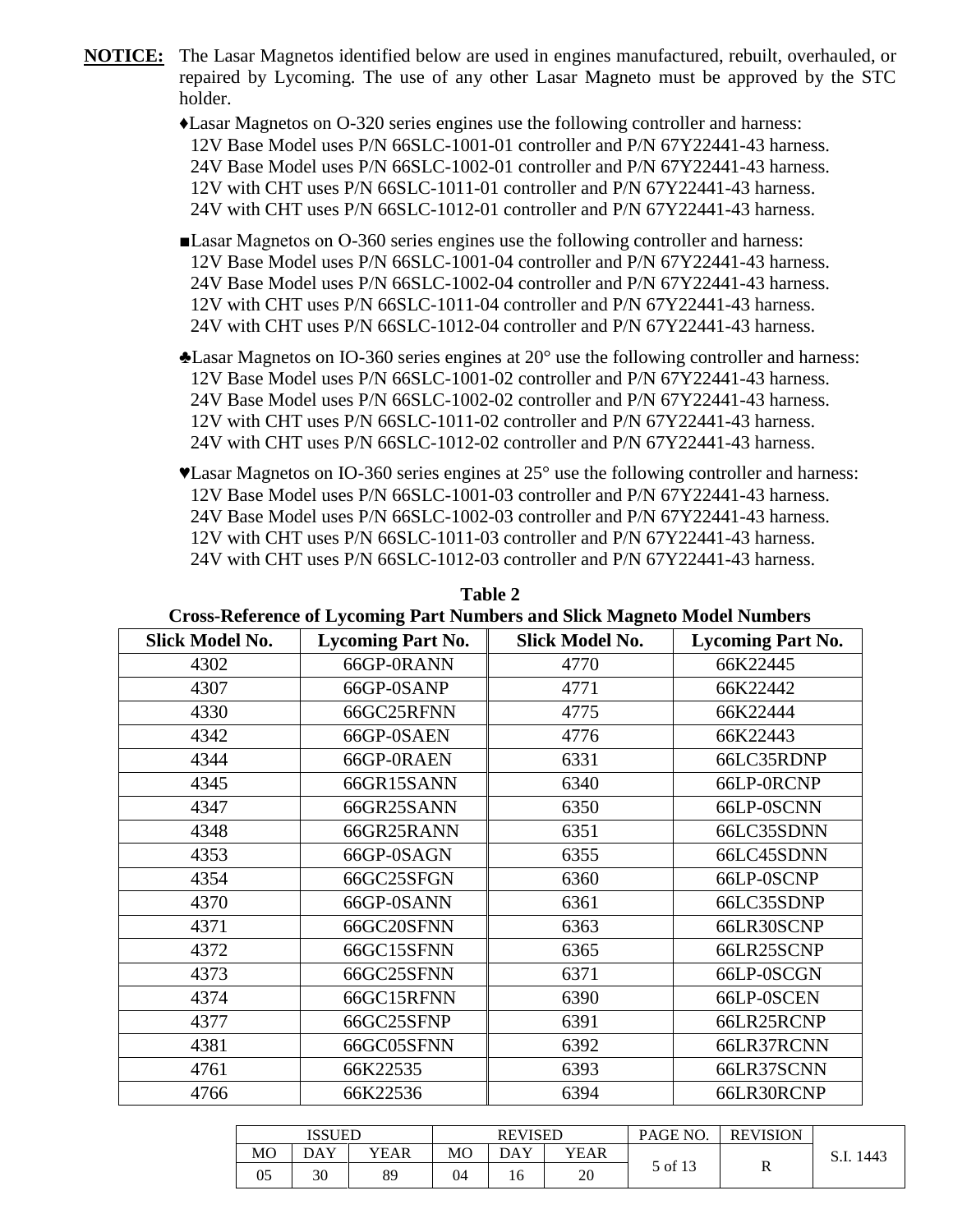**NOTICE:** The Lasar Magnetos identified below are used in engines manufactured, rebuilt, overhauled, or repaired by Lycoming. The use of any other Lasar Magneto must be approved by the STC holder.

> ♦Lasar Magnetos on O-320 series engines use the following controller and harness: 12V Base Model uses P/N 66SLC-1001-01 controller and P/N 67Y22441-43 harness. 24V Base Model uses P/N 66SLC-1002-01 controller and P/N 67Y22441-43 harness. 12V with CHT uses P/N 66SLC-1011-01 controller and P/N 67Y22441-43 harness. 24V with CHT uses P/N 66SLC-1012-01 controller and P/N 67Y22441-43 harness.

- ■Lasar Magnetos on O-360 series engines use the following controller and harness: 12V Base Model uses P/N 66SLC-1001-04 controller and P/N 67Y22441-43 harness. 24V Base Model uses P/N 66SLC-1002-04 controller and P/N 67Y22441-43 harness. 12V with CHT uses P/N 66SLC-1011-04 controller and P/N 67Y22441-43 harness. 24V with CHT uses P/N 66SLC-1012-04 controller and P/N 67Y22441-43 harness.
- ♣Lasar Magnetos on IO-360 series engines at 20° use the following controller and harness: 12V Base Model uses P/N 66SLC-1001-02 controller and P/N 67Y22441-43 harness. 24V Base Model uses P/N 66SLC-1002-02 controller and P/N 67Y22441-43 harness. 12V with CHT uses P/N 66SLC-1011-02 controller and P/N 67Y22441-43 harness. 24V with CHT uses P/N 66SLC-1012-02 controller and P/N 67Y22441-43 harness.
- ♥Lasar Magnetos on IO-360 series engines at 25° use the following controller and harness: 12V Base Model uses P/N 66SLC-1001-03 controller and P/N 67Y22441-43 harness. 24V Base Model uses P/N 66SLC-1002-03 controller and P/N 67Y22441-43 harness. 12V with CHT uses P/N 66SLC-1011-03 controller and P/N 67Y22441-43 harness. 24V with CHT uses P/N 66SLC-1012-03 controller and P/N 67Y22441-43 harness.

| Cross-Keiclence of Lyconning I all trumbers and silek magneto model rumbers |                          |                        |                          |  |  |  |  |  |  |
|-----------------------------------------------------------------------------|--------------------------|------------------------|--------------------------|--|--|--|--|--|--|
| <b>Slick Model No.</b>                                                      | <b>Lycoming Part No.</b> | <b>Slick Model No.</b> | <b>Lycoming Part No.</b> |  |  |  |  |  |  |
| 4302                                                                        | 66GP-0RANN               | 4770                   | 66K22445                 |  |  |  |  |  |  |
| 4307                                                                        | 66GP-0SANP               | 4771                   | 66K22442                 |  |  |  |  |  |  |
| 4330                                                                        | 66GC25RFNN               | 4775                   | 66K22444                 |  |  |  |  |  |  |
| 4342                                                                        | 66GP-0SAEN               | 4776                   | 66K22443                 |  |  |  |  |  |  |
| 4344                                                                        | 66GP-0RAEN               | 6331                   | 66LC35RDNP               |  |  |  |  |  |  |
| 4345                                                                        | 66GR15SANN               | 6340                   | 66LP-0RCNP               |  |  |  |  |  |  |
| 4347                                                                        | 66GR25SANN               | 6350                   | 66LP-0SCNN               |  |  |  |  |  |  |
| 4348                                                                        | 66GR25RANN               | 6351                   | 66LC35SDNN               |  |  |  |  |  |  |
| 4353                                                                        | 66GP-0SAGN               | 6355                   | 66LC45SDNN               |  |  |  |  |  |  |
| 4354                                                                        | 66GC25SFGN               | 6360                   | 66LP-0SCNP               |  |  |  |  |  |  |
| 4370                                                                        | 66GP-0SANN               | 6361                   | 66LC35SDNP               |  |  |  |  |  |  |
| 4371                                                                        | 66GC20SFNN               | 6363                   | 66LR30SCNP               |  |  |  |  |  |  |
| 4372                                                                        | 66GC15SFNN               | 6365                   | 66LR25SCNP               |  |  |  |  |  |  |
| 4373                                                                        | 66GC25SFNN               | 6371                   | 66LP-0SCGN               |  |  |  |  |  |  |
| 4374                                                                        | 66GC15RFNN               | 6390                   | 66LP-0SCEN               |  |  |  |  |  |  |
| 4377                                                                        | 66GC25SFNP               | 6391                   | 66LR25RCNP               |  |  |  |  |  |  |
| 4381                                                                        | 66GC05SFNN               | 6392                   | 66LR37RCNN               |  |  |  |  |  |  |
| 4761                                                                        | 66K22535                 | 6393                   | 66LR37SCNN               |  |  |  |  |  |  |
| 4766                                                                        | 66K22536                 | 6394                   | 66LR30RCNP               |  |  |  |  |  |  |

**Table 2 Cross-Reference of Lycoming Part Numbers and Slick Magneto Model Numbers**

|    | <b>ISSUED</b> |      | <b>REVISED</b> |     |             | PAGE NO. | <b>REVISION</b> |              |
|----|---------------|------|----------------|-----|-------------|----------|-----------------|--------------|
| MO | DAY           | YEAR | <b>MO</b>      | DAY | <b>YEAR</b> |          |                 | 1443<br>5.1. |
| 05 | 30            | 89   | 04             | 16  | 20          | 5 of 13  | R               |              |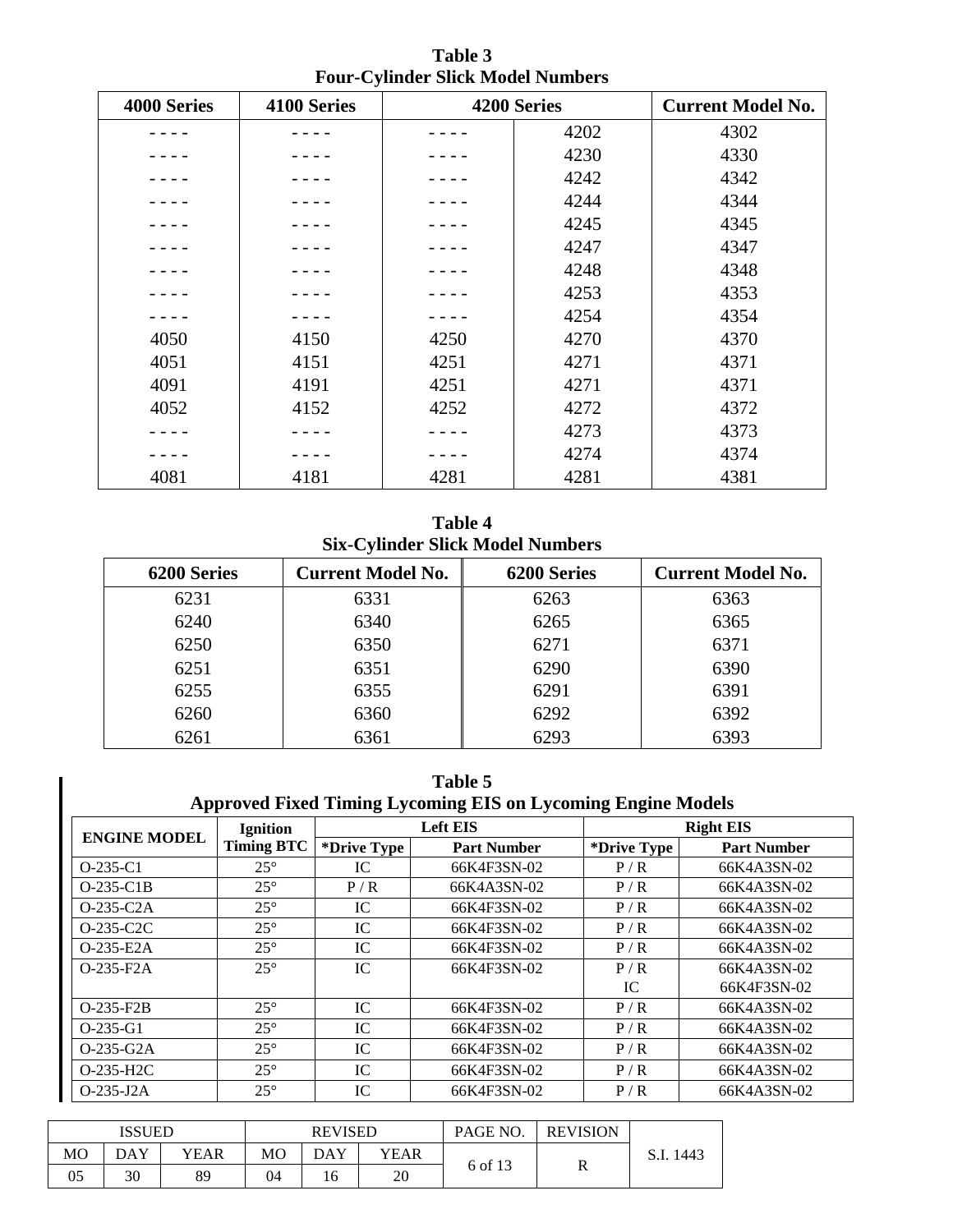| 4000 Series | 4100 Series |      | 4200 Series |      |
|-------------|-------------|------|-------------|------|
|             |             |      | 4202        | 4302 |
|             |             |      | 4230        | 4330 |
|             |             |      | 4242        | 4342 |
|             |             |      | 4244        | 4344 |
|             |             |      | 4245        | 4345 |
|             |             |      | 4247        | 4347 |
|             |             |      | 4248        | 4348 |
|             |             |      | 4253        | 4353 |
|             |             |      | 4254        | 4354 |
| 4050        | 4150        | 4250 | 4270        | 4370 |
| 4051        | 4151        | 4251 | 4271        | 4371 |
| 4091        | 4191        | 4251 | 4271        | 4371 |
| 4052        | 4152        | 4252 | 4272        | 4372 |
|             |             |      | 4273        | 4373 |
|             |             |      | 4274        | 4374 |
| 4081        | 4181        | 4281 | 4281        | 4381 |

**Table 3 Four-Cylinder Slick Model Numbers**

**Table 4 Six-Cylinder Slick Model Numbers**

| 6200 Series | <b>Current Model No.</b> | 6200 Series | <b>Current Model No.</b> |
|-------------|--------------------------|-------------|--------------------------|
| 6231        | 6331                     | 6263        | 6363                     |
| 6240        | 6340                     | 6265        | 6365                     |
| 6250        | 6350                     | 6271        | 6371                     |
| 6251        | 6351                     | 6290        | 6390                     |
| 6255        | 6355                     | 6291        | 6391                     |
| 6260        | 6360                     | 6292        | 6392                     |
| 6261        | 6361                     | 6293        | 6393                     |

| Table 5<br><b>Approved Fixed Timing Lycoming EIS on Lycoming Engine Models</b> |                   |             |                    |             |                    |  |  |  |
|--------------------------------------------------------------------------------|-------------------|-------------|--------------------|-------------|--------------------|--|--|--|
|                                                                                | <b>Ignition</b>   |             | <b>Left EIS</b>    |             | <b>Right EIS</b>   |  |  |  |
| <b>ENGINE MODEL</b>                                                            | <b>Timing BTC</b> | *Drive Type | <b>Part Number</b> | *Drive Type | <b>Part Number</b> |  |  |  |
| $O-235-C1$                                                                     | $25^{\circ}$      | IC.         | 66K4F3SN-02        | P/R         | 66K4A3SN-02        |  |  |  |
| $O-235-C1B$                                                                    | $25^{\circ}$      | P/R         | 66K4A3SN-02        | P/R         | 66K4A3SN-02        |  |  |  |
| $O-235-C2A$                                                                    | $25^{\circ}$      | IC.         | 66K4F3SN-02        | P/R         | 66K4A3SN-02        |  |  |  |
| $O-235-C2C$                                                                    | $25^{\circ}$      | IC          | 66K4F3SN-02        | P/R         | 66K4A3SN-02        |  |  |  |
| $O-235-E2A$                                                                    | $25^{\circ}$      | IC          | 66K4F3SN-02        | P/R         | 66K4A3SN-02        |  |  |  |
| $O-235-F2A$                                                                    | $25^{\circ}$      | IC          | 66K4F3SN-02        | P/R         | 66K4A3SN-02        |  |  |  |
|                                                                                |                   |             |                    | IC          | 66K4F3SN-02        |  |  |  |
| $O-235-F2B$                                                                    | $25^{\circ}$      | IC          | 66K4F3SN-02        | P/R         | 66K4A3SN-02        |  |  |  |
| $O-235-G1$                                                                     | $25^{\circ}$      | IC.         | 66K4F3SN-02        | P/R         | 66K4A3SN-02        |  |  |  |
| $O-235-G2A$                                                                    | $25^{\circ}$      | IC          | 66K4F3SN-02        | P/R         | 66K4A3SN-02        |  |  |  |
| $O-235-H2C$                                                                    | $25^{\circ}$      | IC.         | 66K4F3SN-02        | P/R         | 66K4A3SN-02        |  |  |  |
| O-235-J2A                                                                      | $25^{\circ}$      | IC          | 66K4F3SN-02        | P/R         | 66K4A3SN-02        |  |  |  |

|                | ISSUED |      |    | <b>REVISED</b> |      | PAGE NO. | <b>REVISION</b> |               |
|----------------|--------|------|----|----------------|------|----------|-----------------|---------------|
| M <sub>O</sub> | DAY    | YEAR | MО | DAY            | YEAR | D        |                 | 1443<br>.J.I. |
| 05             | 30     | 89   | 04 |                | 20   | 6 of 13  | ĸ               |               |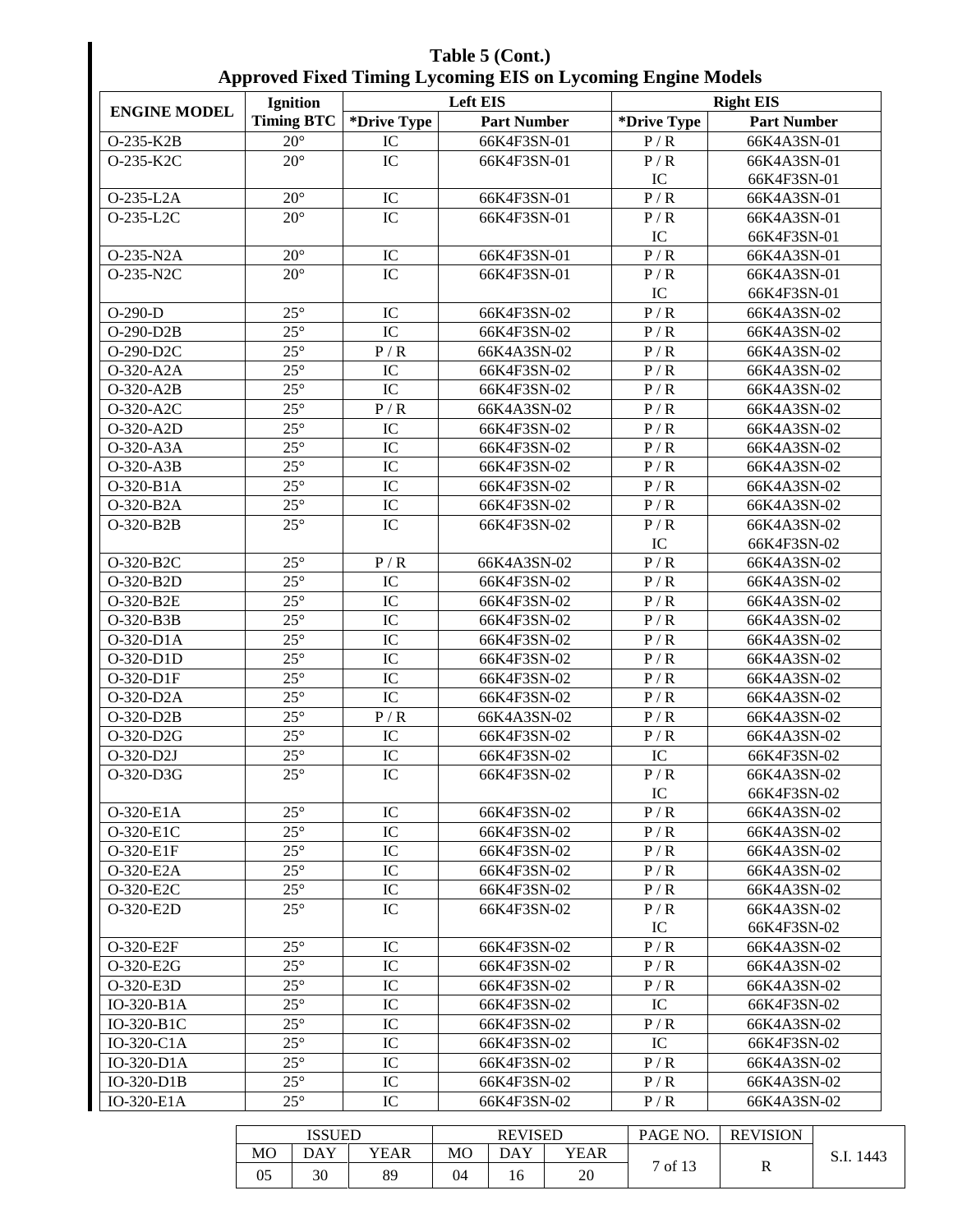| Table 5 (Cont.)                                                     |
|---------------------------------------------------------------------|
| <b>Approved Fixed Timing Lycoming EIS on Lycoming Engine Models</b> |

|                     | <b>Ignition</b>   |                 | <b>Left EIS</b>    |                  | <b>Right EIS</b>   |
|---------------------|-------------------|-----------------|--------------------|------------------|--------------------|
| <b>ENGINE MODEL</b> | <b>Timing BTC</b> | *Drive Type     | <b>Part Number</b> | *Drive Type      | <b>Part Number</b> |
| O-235-K2B           | $20^{\circ}$      | IC              | 66K4F3SN-01        | P/R              | 66K4A3SN-01        |
| O-235-K2C           | $20^\circ$        | IC              | 66K4F3SN-01        | P/R              | 66K4A3SN-01        |
|                     |                   |                 |                    | IC               | 66K4F3SN-01        |
| O-235-L2A           | $20^{\circ}$      | IC              | 66K4F3SN-01        | $\overline{P/R}$ | 66K4A3SN-01        |
| O-235-L2C           | $20^\circ$        | $\overline{IC}$ | 66K4F3SN-01        | P/R              | 66K4A3SN-01        |
|                     |                   |                 |                    | IC               | 66K4F3SN-01        |
| O-235-N2A           | $20^{\circ}$      | IC              | 66K4F3SN-01        | $\overline{P/R}$ | 66K4A3SN-01        |
| O-235-N2C           | $20^{\circ}$      | IC              | 66K4F3SN-01        | P/R              | 66K4A3SN-01        |
|                     |                   |                 |                    | IC               | 66K4F3SN-01        |
| $O-290-D$           | $25^{\circ}$      | IC              | 66K4F3SN-02        | P/R              | 66K4A3SN-02        |
| O-290-D2B           | $25^{\circ}$      | IC              | 66K4F3SN-02        | P/R              | 66K4A3SN-02        |
| O-290-D2C           | $25^{\circ}$      | P/R             | 66K4A3SN-02        | P/R              | 66K4A3SN-02        |
| O-320-A2A           | $25^\circ$        | IC              | 66K4F3SN-02        | P/R              | 66K4A3SN-02        |
| O-320-A2B           | $25^\circ$        | IC              | 66K4F3SN-02        | P/R              | 66K4A3SN-02        |
| O-320-A2C           | $25^{\circ}$      | P/R             | 66K4A3SN-02        | P/R              | 66K4A3SN-02        |
| O-320-A2D           | $25^{\circ}$      | IC              | 66K4F3SN-02        | P/R              | 66K4A3SN-02        |
| O-320-A3A           | $25^\circ$        | IC              | 66K4F3SN-02        | P/R              | 66K4A3SN-02        |
| O-320-A3B           | $25^\circ$        | IC              | 66K4F3SN-02        | P/R              | 66K4A3SN-02        |
| O-320-B1A           | $25^{\circ}$      | IC              | 66K4F3SN-02        | P/R              | 66K4A3SN-02        |
| O-320-B2A           | $25^{\circ}$      | $\rm{IC}$       | 66K4F3SN-02        | P/R              | 66K4A3SN-02        |
| O-320-B2B           | $25^\circ$        | IC              | 66K4F3SN-02        | P/R              | 66K4A3SN-02        |
|                     |                   |                 |                    | IC               | 66K4F3SN-02        |
| O-320-B2C           | $25^\circ$        | P/R             | 66K4A3SN-02        | P/R              | 66K4A3SN-02        |
| O-320-B2D           | $25^\circ$        | IC              | 66K4F3SN-02        | P/R              | 66K4A3SN-02        |
| O-320-B2E           | $25^{\circ}$      | IC              | 66K4F3SN-02        | P/R              | 66K4A3SN-02        |
| O-320-B3B           | $25^\circ$        | IC              | 66K4F3SN-02        | P/R              | 66K4A3SN-02        |
| O-320-D1A           | $25^{\circ}$      | IC              | 66K4F3SN-02        | P/R              | 66K4A3SN-02        |
| O-320-D1D           | $25^{\circ}$      | IC              | 66K4F3SN-02        | P/R              | 66K4A3SN-02        |
| O-320-D1F           | $25^{\circ}$      | IC              | 66K4F3SN-02        | P/R              | 66K4A3SN-02        |
| O-320-D2A           | $25^{\circ}$      | IC              | 66K4F3SN-02        | P/R              | 66K4A3SN-02        |
| O-320-D2B           | $25^\circ$        | P/R             | 66K4A3SN-02        | P/R              | 66K4A3SN-02        |
| O-320-D2G           | $25^{\circ}$      | ${\rm IC}$      | 66K4F3SN-02        | P/R              | 66K4A3SN-02        |
| O-320-D2J           | $25^\circ$        | IC              | 66K4F3SN-02        | IC               | 66K4F3SN-02        |
| O-320-D3G           | $25^\circ$        | $\overline{IC}$ | 66K4F3SN-02        | P/R              | 66K4A3SN-02        |
|                     |                   |                 |                    | IC               | 66K4F3SN-02        |
| O-320-E1A           | $25^{\circ}$      | IC              | 66K4F3SN-02        | P/R              | 66K4A3SN-02        |
| O-320-E1C           | $25^{\circ}$      | IC              | 66K4F3SN-02        | P/R              | 66K4A3SN-02        |
| O-320-E1F           | $25^{\circ}$      | IC              | 66K4F3SN-02        | P/R              | 66K4A3SN-02        |
| O-320-E2A           | $25^{\circ}$      | IC              | 66K4F3SN-02        | P/R              | 66K4A3SN-02        |
| O-320-E2C           | $25^\circ$        | IC              | 66K4F3SN-02        | P/R              | 66K4A3SN-02        |
| O-320-E2D           | $25^{\circ}$      | IC              | 66K4F3SN-02        | P/R              | 66K4A3SN-02        |
|                     |                   |                 |                    | IC               | 66K4F3SN-02        |
| O-320-E2F           | $25^{\circ}$      | IC              | 66K4F3SN-02        | P/R              | 66K4A3SN-02        |
| O-320-E2G           | $25^{\circ}$      | IC              | 66K4F3SN-02        | P/R              | 66K4A3SN-02        |
| O-320-E3D           | $25^{\circ}$      | IC              | 66K4F3SN-02        | P/R              | 66K4A3SN-02        |
| IO-320-B1A          | $25^{\circ}$      | IC              | 66K4F3SN-02        | IC               | 66K4F3SN-02        |
| IO-320-B1C          | $25^{\circ}$      | IC              | 66K4F3SN-02        | P/R              | 66K4A3SN-02        |
| IO-320-C1A          | $25^{\circ}$      | IC              | 66K4F3SN-02        | IC               | 66K4F3SN-02        |
| IO-320-D1A          | $25^{\circ}$      | IC              | 66K4F3SN-02        | P/R              | 66K4A3SN-02        |
| IO-320-D1B          | $25^{\circ}$      | IC              | 66K4F3SN-02        | P/R              | 66K4A3SN-02        |
| IO-320-E1A          | $25^{\circ}$      | IC              | 66K4F3SN-02        | P/R              | 66K4A3SN-02        |

| <b>ISSUED</b> |     |      |    | <b>REVISED</b> |      | PAGE NO.       | <b>REVISION</b> |  |
|---------------|-----|------|----|----------------|------|----------------|-----------------|--|
| MO            | DAY | YEAR | МO | <b>DAY</b>     | YEAR | $\overline{ }$ | 1443<br>.J.I.   |  |
| 05            | 30  | 89   | 04 | 16             | 20   | of $13$        | R               |  |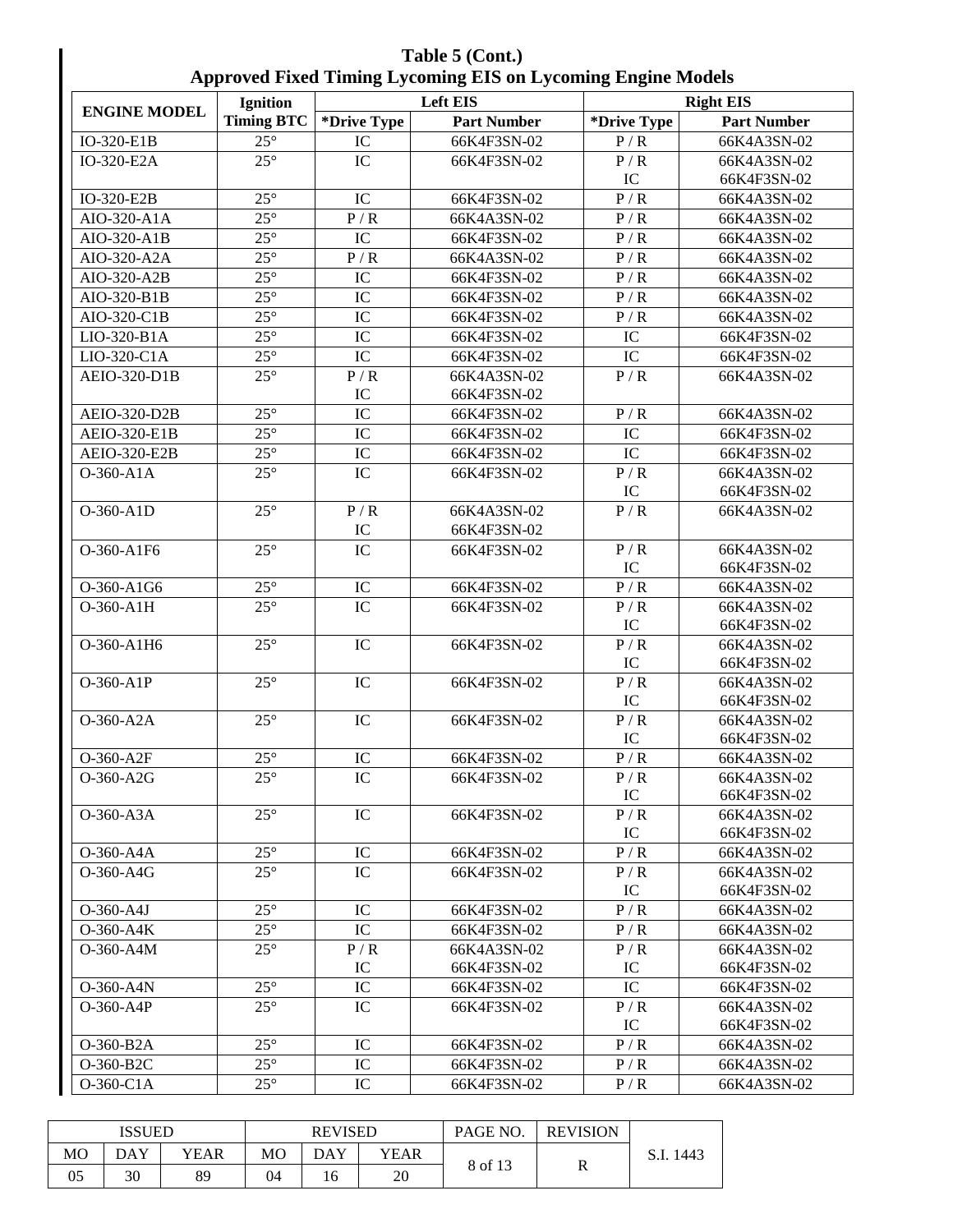|                | Table 5 (Cont.)<br><b>Approved Fixed Timing Lycoming EIS on Lycoming Engine Models</b> |             |                    |                             |                    |  |  |  |  |  |  |  |
|----------------|----------------------------------------------------------------------------------------|-------------|--------------------|-----------------------------|--------------------|--|--|--|--|--|--|--|
|                | <b>Ignition</b>                                                                        |             | <b>Left EIS</b>    |                             | <b>Right EIS</b>   |  |  |  |  |  |  |  |
| <b>E MODEL</b> | Timing BTC                                                                             | *Drive Type | <b>Part Number</b> | *Drive Type                 | <b>Part Number</b> |  |  |  |  |  |  |  |
| E1B            | $25^\circ$                                                                             | IС          | 66K4F3SN-02        | P/R                         | 66K4A3SN-02        |  |  |  |  |  |  |  |
| E2A            | $25^\circ$                                                                             | IC.         | 66K4F3SN-02        | P/R                         | 66K4A3SN-02        |  |  |  |  |  |  |  |
|                |                                                                                        |             |                    | IC                          | 66K4F3SN-02        |  |  |  |  |  |  |  |
| <b>DOD</b>     | $\cap F \cap$                                                                          | $T \cap$    | $CCTI$ $ATO$       | $\mathbf{D}$ / $\mathbf{D}$ | CCTA A A OCHA A C  |  |  |  |  |  |  |  |

| <b>ENGINE MODEL</b> | <b>Ignition</b>   |             | Left EIS           | <b>Right EIS</b>       |                    |  |  |
|---------------------|-------------------|-------------|--------------------|------------------------|--------------------|--|--|
|                     | <b>Timing BTC</b> | *Drive Type | <b>Part Number</b> | *Drive Type            | <b>Part Number</b> |  |  |
| IO-320-E1B          | $25^\circ$        | IC          | 66K4F3SN-02        | P/R                    | 66K4A3SN-02        |  |  |
| IO-320-E2A          | $25^\circ$        | IC          | 66K4F3SN-02        | P/R                    | 66K4A3SN-02        |  |  |
|                     |                   |             |                    | IC                     | 66K4F3SN-02        |  |  |
| IO-320-E2B          | $25^{\circ}$      | IC          | 66K4F3SN-02        | P/R                    | 66K4A3SN-02        |  |  |
| AIO-320-A1A         | $25^{\circ}$      | P/R         | 66K4A3SN-02        | P/R                    | 66K4A3SN-02        |  |  |
| AIO-320-A1B         | $25^{\circ}$      | IC          | 66K4F3SN-02        | P/R                    | 66K4A3SN-02        |  |  |
| AIO-320-A2A         | $25^\circ$        | P/R         | 66K4A3SN-02        | P/R                    | 66K4A3SN-02        |  |  |
| AIO-320-A2B         | $25^\circ$        | IC          | 66K4F3SN-02        | P/R                    | 66K4A3SN-02        |  |  |
| AIO-320-B1B         | $25^\circ$        | IC          | 66K4F3SN-02        | P/R                    | 66K4A3SN-02        |  |  |
| AIO-320-C1B         | $25^{\circ}$      | IC          | 66K4F3SN-02        | P/R                    | 66K4A3SN-02        |  |  |
| LIO-320-B1A         | $25^{\circ}$      | IC          | 66K4F3SN-02        | IC                     | 66K4F3SN-02        |  |  |
| LIO-320-C1A         | $25^\circ$        | IC          | 66K4F3SN-02        | IC                     | 66K4F3SN-02        |  |  |
| AEIO-320-D1B        | $25^\circ$        | P/R         | 66K4A3SN-02        | P/R                    | 66K4A3SN-02        |  |  |
|                     |                   | IC          | 66K4F3SN-02        |                        |                    |  |  |
| <b>AEIO-320-D2B</b> | $25^\circ$        | IC          | 66K4F3SN-02        | P/R                    | 66K4A3SN-02        |  |  |
| <b>AEIO-320-E1B</b> | $25^\circ$        | IC          | 66K4F3SN-02        | $\overline{\text{IC}}$ | 66K4F3SN-02        |  |  |
| AEIO-320-E2B        | $25^{\circ}$      | IC          | 66K4F3SN-02        | IC                     | 66K4F3SN-02        |  |  |
| $O-360- A1A$        | $25^\circ$        | IC          | 66K4F3SN-02        | P/R                    | 66K4A3SN-02        |  |  |
|                     |                   |             |                    | IC                     | 66K4F3SN-02        |  |  |
| O-360-A1D           | $25^\circ$        | P/R         | 66K4A3SN-02        | P/R                    | 66K4A3SN-02        |  |  |
|                     |                   | IC          | 66K4F3SN-02        |                        |                    |  |  |
| O-360-A1F6          | $25^{\circ}$      | IC          | 66K4F3SN-02        | P/R                    | 66K4A3SN-02        |  |  |
|                     |                   |             |                    | IC                     | 66K4F3SN-02        |  |  |
| O-360-A1G6          | $25^\circ$        | IC          | 66K4F3SN-02        | P/R                    | 66K4A3SN-02        |  |  |
| O-360-A1H           | $25^{\circ}$      | IC          | 66K4F3SN-02        | P/R                    | 66K4A3SN-02        |  |  |
|                     |                   |             |                    | IC                     | 66K4F3SN-02        |  |  |
| O-360-A1H6          | $25^{\circ}$      | IC          | 66K4F3SN-02        | P/R                    | 66K4A3SN-02        |  |  |
|                     |                   |             |                    | IC                     | 66K4F3SN-02        |  |  |
| O-360-A1P           | $25^{\circ}$      | IC          | 66K4F3SN-02        | P/R                    | 66K4A3SN-02        |  |  |
|                     |                   |             |                    | IC                     | 66K4F3SN-02        |  |  |
| O-360-A2A           | $25^{\circ}$      | IC          | 66K4F3SN-02        | P/R                    | 66K4A3SN-02        |  |  |
|                     |                   |             |                    | IC                     | 66K4F3SN-02        |  |  |
| O-360-A2F           | $25^\circ$        | IC          | 66K4F3SN-02        | P/R                    | 66K4A3SN-02        |  |  |
| O-360-A2G           | $25^\circ$        | IC          | 66K4F3SN-02        | P/R                    | 66K4A3SN-02        |  |  |
|                     |                   |             |                    | $\cal IC$              | 66K4F3SN-02        |  |  |
| O-360-A3A           | $25^\circ$        | IC          | 66K4F3SN-02        | P/R                    | 66K4A3SN-02        |  |  |
|                     |                   |             |                    | IC                     | 66K4F3SN-02        |  |  |
| O-360-A4A           | $25^\circ$        | IC          | 66K4F3SN-02        | P/R                    | 66K4A3SN-02        |  |  |
| O-360-A4G           | $25^\circ$        | IC          | 66K4F3SN-02        | P/R                    | 66K4A3SN-02        |  |  |
|                     |                   |             |                    | IC                     | 66K4F3SN-02        |  |  |
| O-360-A4J           | $25^{\circ}$      | IC          | 66K4F3SN-02        | P/R                    | 66K4A3SN-02        |  |  |
| O-360-A4K           | $25^\circ$        | IC          | 66K4F3SN-02        | P/R                    | 66K4A3SN-02        |  |  |
| O-360-A4M           | $25^{\circ}$      | P/R         | 66K4A3SN-02        | P/R                    | 66K4A3SN-02        |  |  |
|                     |                   | IC          | 66K4F3SN-02        | IC                     | 66K4F3SN-02        |  |  |
| O-360-A4N           | $25^\circ$        | IC          | 66K4F3SN-02        | IC                     | 66K4F3SN-02        |  |  |
| $O-360-AAP$         | $25^{\circ}$      | IC          | 66K4F3SN-02        | P/R                    | 66K4A3SN-02        |  |  |
|                     |                   |             |                    | IC                     | 66K4F3SN-02        |  |  |
| O-360-B2A           | $25^{\circ}$      | IC          | 66K4F3SN-02        | P/R                    | 66K4A3SN-02        |  |  |
| O-360-B2C           | $25^{\circ}$      | IC          | 66K4F3SN-02        | P/R                    | 66K4A3SN-02        |  |  |
|                     | $25^\circ$        | IC          | 66K4F3SN-02        | P/R                    | 66K4A3SN-02        |  |  |

|    | ISSUED<br><b>REVISED</b> |      |    |     | PAGE NO. | <b>REVISION</b> |                 |  |
|----|--------------------------|------|----|-----|----------|-----------------|-----------------|--|
| МO | DAY                      | YEAR | MO | DAY | YEAR     |                 | 1443<br>. .۱. د |  |
| 05 | 30                       | 89   | 04 | 16  | 20       | 8 of 13         | R               |  |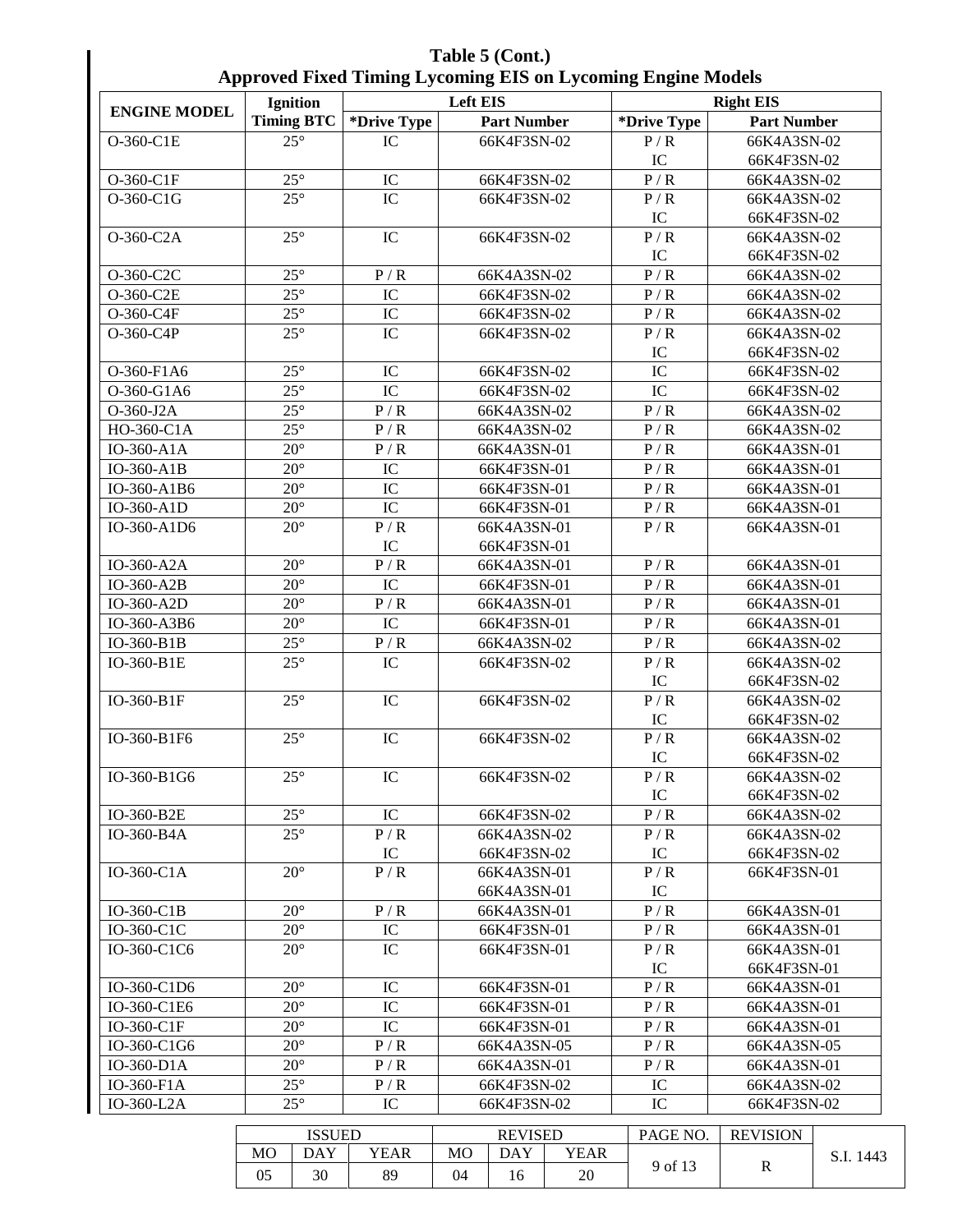| Table 5 (Cont.)                                                     |
|---------------------------------------------------------------------|
| <b>Approved Fixed Timing Lycoming EIS on Lycoming Engine Models</b> |

| x x                 | <b>Ignition</b> |                   | 0                           | <b>Left EIS</b> | $\overline{\phantom{a}}$   |             | o<br>o                 | <b>Right EIS</b>   |                            |  |
|---------------------|-----------------|-------------------|-----------------------------|-----------------|----------------------------|-------------|------------------------|--------------------|----------------------------|--|
| <b>ENGINE MODEL</b> |                 | <b>Timing BTC</b> | *Drive Type                 |                 | <b>Part Number</b>         |             | *Drive Type            | <b>Part Number</b> |                            |  |
| O-360-C1E           |                 | $25^\circ$        | IC                          |                 | 66K4F3SN-02                |             | P/R                    | 66K4A3SN-02        |                            |  |
|                     |                 |                   |                             |                 |                            |             | ${\rm IC}$             | 66K4F3SN-02        |                            |  |
| O-360-C1F           |                 | $25^{\circ}$      | ${\rm IC}$                  |                 | 66K4F3SN-02                |             | $\overline{P/R}$       | 66K4A3SN-02        |                            |  |
| O-360-C1G           |                 | $25^\circ$        | $\overline{\text{IC}}$      |                 | 66K4F3SN-02                |             | P/R                    | 66K4A3SN-02        |                            |  |
|                     |                 |                   |                             |                 |                            |             | IC                     | 66K4F3SN-02        |                            |  |
| O-360-C2A           |                 | $25^\circ$        | IC                          |                 | 66K4F3SN-02                |             | P/R                    | 66K4A3SN-02        |                            |  |
|                     |                 |                   |                             |                 |                            |             | IC                     | 66K4F3SN-02        |                            |  |
| O-360-C2C           |                 | $25^{\circ}$      | P/R                         |                 | 66K4A3SN-02                |             | P/R                    | 66K4A3SN-02        |                            |  |
| O-360-C2E           |                 | $25^\circ$        | $\overline{IC}$             |                 | 66K4F3SN-02                |             | P/R                    | 66K4A3SN-02        |                            |  |
| O-360-C4F           |                 | $25^\circ$        | $\overline{IC}$             |                 | 66K4F3SN-02                |             | P/R                    | 66K4A3SN-02        |                            |  |
| O-360-C4P           |                 | $25^{\circ}$      | IC                          |                 | 66K4F3SN-02                |             | P/R                    | 66K4A3SN-02        |                            |  |
|                     |                 |                   |                             |                 |                            |             | IC                     | 66K4F3SN-02        |                            |  |
| O-360-F1A6          |                 | $25^\circ$        | IC                          |                 | 66K4F3SN-02                |             | $\overline{IC}$        | 66K4F3SN-02        |                            |  |
| O-360-G1A6          |                 | $25^\circ$        | $\overline{IC}$             |                 | 66K4F3SN-02                |             | $\overline{\text{IC}}$ | 66K4F3SN-02        |                            |  |
| O-360-J2A           |                 | $25^\circ$        | P/R                         |                 | 66K4A3SN-02                |             | P/R                    | 66K4A3SN-02        |                            |  |
| HO-360-C1A          |                 | $25^\circ$        | P/R                         |                 | 66K4A3SN-02                |             | P/R                    | 66K4A3SN-02        |                            |  |
| IO-360-A1A          |                 | $20^\circ$        | P/R                         |                 | 66K4A3SN-01                |             | $\overline{P/R}$       | 66K4A3SN-01        |                            |  |
| IO-360-A1B          |                 | $20^{\circ}$      | ${\rm IC}$                  |                 | 66K4F3SN-01                |             | P/R                    | 66K4A3SN-01        |                            |  |
| IO-360-A1B6         |                 | $20^{\circ}$      | ${\rm IC}$                  |                 | 66K4F3SN-01                |             | P/R                    | 66K4A3SN-01        |                            |  |
| IO-360-A1D          |                 | $20^\circ$        | $\overline{IC}$             |                 | 66K4F3SN-01                |             | P/R                    | 66K4A3SN-01        |                            |  |
| IO-360-A1D6         |                 | $20^{\circ}$      | P/R                         |                 | 66K4A3SN-01                |             | P/R                    | 66K4A3SN-01        |                            |  |
|                     |                 |                   | IC                          |                 | 66K4F3SN-01                |             |                        |                    |                            |  |
| IO-360-A2A          |                 | $20^\circ$        | P/R                         |                 | 66K4A3SN-01                |             | P/R                    | 66K4A3SN-01        |                            |  |
| IO-360-A2B          |                 | $20^{\circ}$      | $\overline{IC}$             |                 | 66K4F3SN-01                |             | P/R                    | 66K4A3SN-01        |                            |  |
| IO-360-A2D          |                 | $20^{\circ}$      | P/R                         |                 | 66K4A3SN-01                |             | P/R                    | 66K4A3SN-01        |                            |  |
| IO-360-A3B6         |                 | $20^{\circ}$      | $\overline{\text{IC}}$      |                 | 66K4F3SN-01                |             | P/R                    | 66K4A3SN-01        |                            |  |
| IO-360-B1B          |                 | $25^\circ$        | $\mathbf{P}$ / $\mathbf{R}$ |                 | 66K4A3SN-02                |             | P/R                    | 66K4A3SN-02        |                            |  |
| IO-360-B1E          |                 | $25^\circ$        | IC                          |                 | 66K4F3SN-02                |             | P/R                    | 66K4A3SN-02        |                            |  |
|                     |                 |                   |                             |                 |                            |             | IC                     | 66K4F3SN-02        |                            |  |
| IO-360-B1F          |                 | $25^\circ$        | $\overline{IC}$             |                 | 66K4F3SN-02                |             | $\overline{P/R}$       | 66K4A3SN-02        |                            |  |
|                     |                 |                   |                             |                 |                            |             | IC                     | 66K4F3SN-02        |                            |  |
| IO-360-B1F6         |                 | $25^{\circ}$      | IC                          |                 | 66K4F3SN-02                |             | P/R                    | 66K4A3SN-02        |                            |  |
|                     |                 |                   |                             |                 |                            |             | IC                     | 66K4F3SN-02        |                            |  |
| IO-360-B1G6         |                 | $25^{\circ}$      | ${\rm IC}$                  |                 | 66K4F3SN-02                |             | P/R                    | 66K4A3SN-02        |                            |  |
|                     |                 |                   |                             |                 |                            |             | IC                     | 66K4F3SN-02        |                            |  |
| IO-360-B2E          |                 | $25^{\circ}$      | IC                          |                 | 66K4F3SN-02                |             | P/R                    | 66K4A3SN-02        |                            |  |
| IO-360-B4A          |                 | $25^{\circ}$      | P/R                         |                 | 66K4A3SN-02                |             | P/R                    | 66K4A3SN-02        |                            |  |
|                     |                 |                   | IC                          |                 | 66K4F3SN-02                |             | IC                     | 66K4F3SN-02        |                            |  |
| $IO-360-ClA$        |                 | $20^{\circ}$      | P/R                         |                 | 66K4A3SN-01                |             | P/R                    | 66K4F3SN-01        |                            |  |
| $IO-360-C1B$        |                 | $20^{\circ}$      | P/R                         |                 | 66K4A3SN-01<br>66K4A3SN-01 |             | IC<br>P/R              | 66K4A3SN-01        |                            |  |
| IO-360-C1C          |                 | $20^{\circ}$      | IC                          |                 | 66K4F3SN-01                |             | P/R                    | 66K4A3SN-01        |                            |  |
| IO-360-C1C6         |                 | $20^{\circ}$      | IC                          |                 | 66K4F3SN-01                |             | P/R                    | 66K4A3SN-01        |                            |  |
|                     |                 |                   |                             |                 |                            |             | IC                     | 66K4F3SN-01        |                            |  |
| IO-360-C1D6         |                 | $20^{\circ}$      | IC                          |                 | 66K4F3SN-01                |             | P/R                    |                    |                            |  |
| IO-360-C1E6         |                 | $20^{\circ}$      | IC                          |                 | 66K4F3SN-01                |             | P/R                    |                    | 66K4A3SN-01                |  |
| IO-360-C1F          |                 | $20^{\circ}$      | IC                          |                 | 66K4F3SN-01                |             | P/R                    |                    | 66K4A3SN-01<br>66K4A3SN-01 |  |
| IO-360-C1G6         |                 | $20^{\circ}$      | P/R                         |                 | 66K4A3SN-05                |             | P/R                    | 66K4A3SN-05        |                            |  |
| $IO-360-D1A$        |                 | $20^{\circ}$      | P/R                         |                 | 66K4A3SN-01                |             | P/R                    | 66K4A3SN-01        |                            |  |
| $IO-360-F1A$        |                 | $25^{\circ}$      | P/R                         |                 | 66K4F3SN-02                |             | IC                     | 66K4A3SN-02        |                            |  |
| $IO-360-L2A$        |                 | $25^{\circ}$      | IC                          |                 | 66K4F3SN-02                |             | IC                     | 66K4F3SN-02        |                            |  |
|                     |                 |                   |                             |                 |                            |             |                        |                    |                            |  |
|                     |                 | <b>ISSUED</b>     |                             |                 | <b>REVISED</b>             |             | PAGE NO.               | <b>REVISION</b>    |                            |  |
|                     | <b>MO</b>       | <b>DAY</b>        | <b>YEAR</b>                 | MO              | <b>DAY</b>                 | <b>YEAR</b> | 9 of 13                | $\mathbf R$        | S.I. 1443                  |  |
|                     | 05              | 30                | 89                          | 04              | 16                         | 20          |                        |                    |                            |  |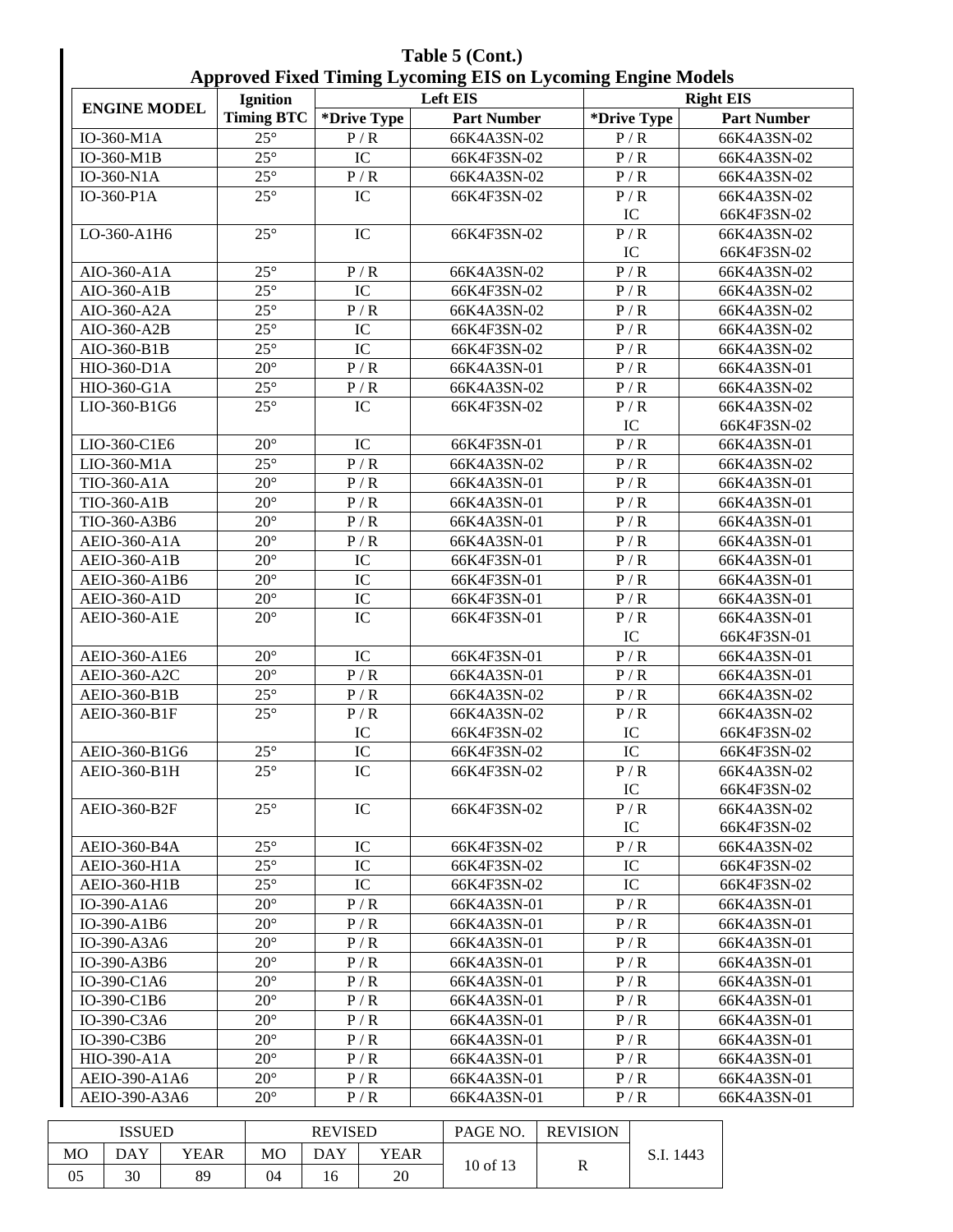| Table 5 (Cont.)                                                     |
|---------------------------------------------------------------------|
| <b>Approved Fixed Timing Lycoming EIS on Lycoming Engine Models</b> |

|                           | Ignition          |                | $-5 - 1$<br><b>Left EIS</b> |             | <b>Right EIS</b>   |
|---------------------------|-------------------|----------------|-----------------------------|-------------|--------------------|
| <b>ENGINE MODEL</b>       | <b>Timing BTC</b> | *Drive Type    | <b>Part Number</b>          | *Drive Type | <b>Part Number</b> |
| IO-360-M1A                | $25^{\circ}$      | P/R            | 66K4A3SN-02                 | P/R         | 66K4A3SN-02        |
| IO-360-M1B                | $25^\circ$        | IC             | 66K4F3SN-02                 | P/R         | 66K4A3SN-02        |
| IO-360-N1A                | $25^\circ$        | P/R            | 66K4A3SN-02                 | P/R         | 66K4A3SN-02        |
| IO-360-P1A                | $25^\circ$        | $\rm{IC}$      | 66K4F3SN-02                 | P/R         | 66K4A3SN-02        |
|                           |                   |                |                             | IC          | 66K4F3SN-02        |
| LO-360-A1H6               | $25^{\circ}$      | IC             | 66K4F3SN-02                 | P/R         | 66K4A3SN-02        |
|                           |                   |                |                             | IC          | 66K4F3SN-02        |
| AIO-360-A1A               | $25^{\circ}$      | P/R            | 66K4A3SN-02                 | P/R         | 66K4A3SN-02        |
| AIO-360-A1B               | $25^{\circ}$      | IC             | 66K4F3SN-02                 | P/R         | 66K4A3SN-02        |
| AIO-360-A2A               | $25^{\circ}$      | P/R            | 66K4A3SN-02                 | P/R         | 66K4A3SN-02        |
| AIO-360-A2B               | $25^{\circ}$      | IC             | 66K4F3SN-02                 | P/R         | 66K4A3SN-02        |
| AIO-360-B1B               | $25^{\circ}$      | IC             | 66K4F3SN-02                 | P/R         | 66K4A3SN-02        |
| HIO-360-D1A               | $20^{\circ}$      | P/R            | 66K4A3SN-01                 | P/R         | 66K4A3SN-01        |
| HIO-360-G1A               | $25^\circ$        | P/R            | 66K4A3SN-02                 | P/R         | 66K4A3SN-02        |
| LIO-360-B1G6              | $25^{\circ}$      | IC             | 66K4F3SN-02                 | P/R         | 66K4A3SN-02        |
|                           |                   |                |                             | IC          | 66K4F3SN-02        |
| LIO-360-C1E6              | $20^{\circ}$      | IC             | 66K4F3SN-01                 | P/R         | 66K4A3SN-01        |
| $\overline{L}$ IO-360-M1A | $25^\circ$        | P/R            | 66K4A3SN-02                 | P/R         | 66K4A3SN-02        |
| TIO-360-A1A               | $20^\circ$        | P/R            | 66K4A3SN-01                 | P/R         | 66K4A3SN-01        |
| TIO-360-A1B               | $20^\circ$        | P/R            | 66K4A3SN-01                 | P/R         | 66K4A3SN-01        |
| TIO-360-A3B6              | $20^\circ$        | P/R            | 66K4A3SN-01                 | P/R         | 66K4A3SN-01        |
| AEIO-360-A1A              | $20^\circ$        | P/R            | 66K4A3SN-01                 | P/R         | 66K4A3SN-01        |
| <b>AEIO-360-A1B</b>       | $20^\circ$        | $\rm{IC}$      | 66K4F3SN-01                 | P/R         | 66K4A3SN-01        |
| AEIO-360-A1B6             | $20^{\circ}$      | IC             | 66K4F3SN-01                 | P/R         | 66K4A3SN-01        |
| <b>AEIO-360-A1D</b>       | $20^\circ$        | IC             | 66K4F3SN-01                 | P/R         | 66K4A3SN-01        |
| AEIO-360-A1E              | $20^{\circ}$      | IC             | 66K4F3SN-01                 | P/R         | 66K4A3SN-01        |
|                           |                   |                |                             | IC          | 66K4F3SN-01        |
| AEIO-360-A1E6             | $20^{\circ}$      | IC             | 66K4F3SN-01                 | P/R         | 66K4A3SN-01        |
| AEIO-360-A2C              | $20^{\circ}$      | P/R            | 66K4A3SN-01                 | P/R         | 66K4A3SN-01        |
| AEIO-360-B1B              | $25^{\circ}$      | P/R            | 66K4A3SN-02                 | P/R         | 66K4A3SN-02        |
| AEIO-360-B1F              | $25^{\circ}$      | P/R            | 66K4A3SN-02                 | P/R         | 66K4A3SN-02        |
|                           |                   | IC             | 66K4F3SN-02                 | IC          | 66K4F3SN-02        |
| AEIO-360-B1G6             | $25^\circ$        | IC             | 66K4F3SN-02                 | IC          | 66K4F3SN-02        |
| AEIO-360-B1H              | $25^{\circ}$      | IC             | 66K4F3SN-02                 | P/R         | 66K4A3SN-02        |
|                           |                   |                |                             | IC          | 66K4F3SN-02        |
| AEIO-360-B2F              | $25^{\circ}$      | IC             | 66K4F3SN-02                 | P/R         | 66K4A3SN-02        |
|                           |                   |                |                             | IC          | 66K4F3SN-02        |
| AEIO-360-B4A              | $25^{\circ}$      | IC             | 66K4F3SN-02                 | P/R         | 66K4A3SN-02        |
| <b>AEIO-360-H1A</b>       | $25^\circ$        | IC             | 66K4F3SN-02                 | IC          | 66K4F3SN-02        |
| <b>AEIO-360-H1B</b>       | $25^\circ$        | IC             | 66K4F3SN-02                 | IC          | 66K4F3SN-02        |
| IO-390-A1A6               | $20^{\circ}$      | P/R            | 66K4A3SN-01                 | P/R         | 66K4A3SN-01        |
| IO-390-A1B6               | $20^{\circ}$      | P/R            | 66K4A3SN-01                 | P/R         | 66K4A3SN-01        |
| IO-390-A3A6               | $20^{\circ}$      | P/R            | 66K4A3SN-01                 | P/R         | 66K4A3SN-01        |
| IO-390-A3B6               | $20^{\circ}$      | P/R            | 66K4A3SN-01                 | P/R         | 66K4A3SN-01        |
| IO-390-C1A6               | $20^{\circ}$      | P/R            | 66K4A3SN-01                 | P/R         | 66K4A3SN-01        |
| IO-390-C1B6               | $20^{\circ}$      | P/R            | 66K4A3SN-01                 | P/R         | 66K4A3SN-01        |
| IO-390-C3A6               | $20^{\circ}$      | P/R            | 66K4A3SN-01                 | P/R         | 66K4A3SN-01        |
| IO-390-C3B6               | $20^{\circ}$      | P/R            | 66K4A3SN-01                 | P/R         | 66K4A3SN-01        |
| HIO-390-A1A               | $20^{\circ}$      | P/R            | 66K4A3SN-01                 | P/R         | 66K4A3SN-01        |
| AEIO-390-A1A6             | $20^{\circ}$      | P/R            | 66K4A3SN-01                 | P/R         | 66K4A3SN-01        |
| AEIO-390-A3A6             | $20^{\circ}$      | P/R            | 66K4A3SN-01                 | P/R         | 66K4A3SN-01        |
|                           |                   |                |                             |             |                    |
| <b>ISSUED</b>             |                   | <b>REVISED</b> | <b>PAGE NO. REVISION</b>    |             |                    |

| ISSUED |     |      |    | <b>REVISED</b> |      | PAGE NO. | <b>REVISION</b> |  |
|--------|-----|------|----|----------------|------|----------|-----------------|--|
| МO     | DAY | YEAR | MО | DAY            | YEAR |          | 1443<br>.J.I.   |  |
| 05     | 30  | 89   | 04 | <sup>0</sup>   | 20   | 10 of 13 | R               |  |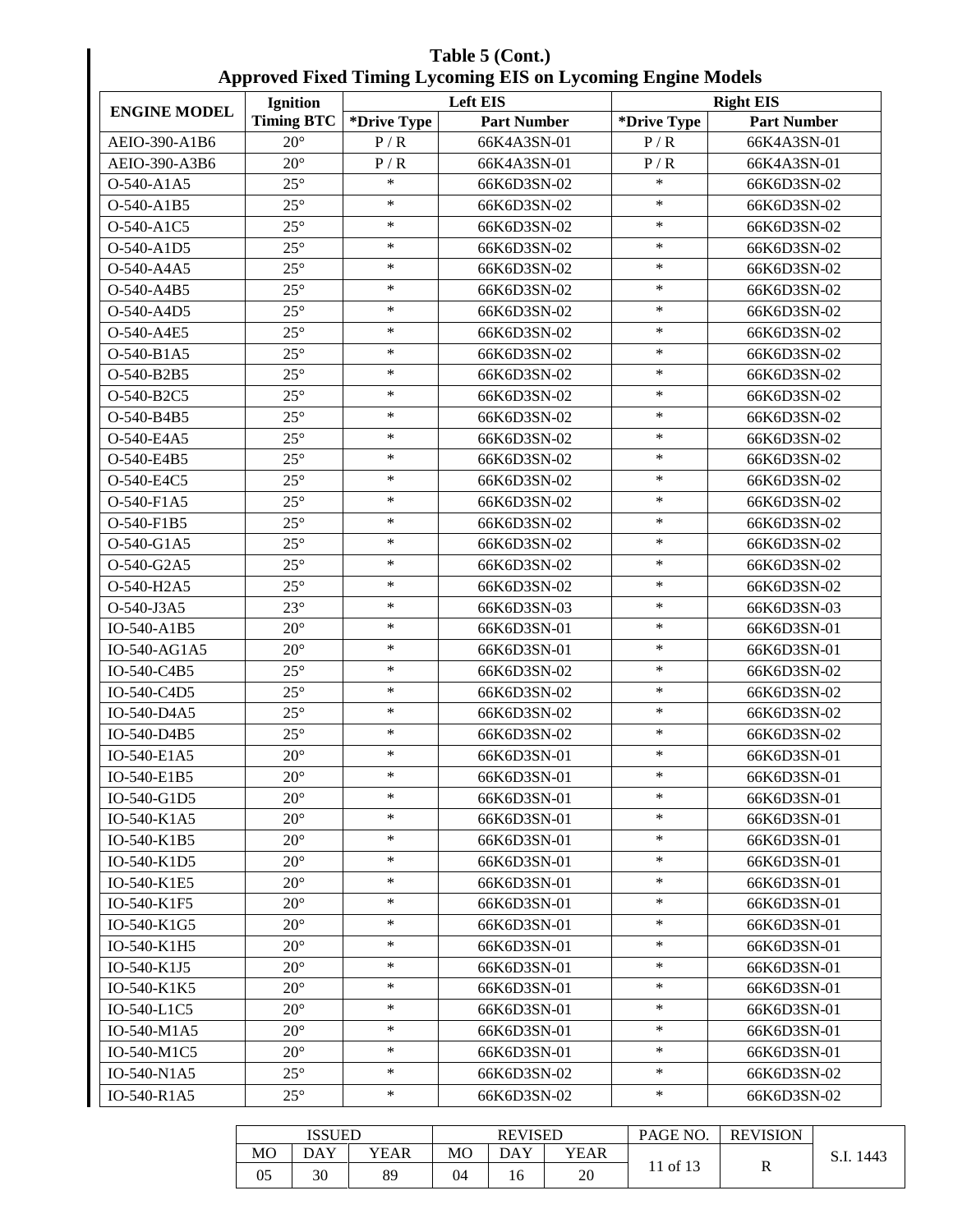| Table 5 (Cont.)                                                     |
|---------------------------------------------------------------------|
| <b>Approved Fixed Timing Lycoming EIS on Lycoming Engine Models</b> |

| x x                 | <b>Ignition</b>   | 0           | $\mathbf{\sigma}$<br><b>Left EIS</b> | o<br><b>Right EIS</b> |                    |  |  |
|---------------------|-------------------|-------------|--------------------------------------|-----------------------|--------------------|--|--|
| <b>ENGINE MODEL</b> | <b>Timing BTC</b> | *Drive Type | <b>Part Number</b>                   | *Drive Type           | <b>Part Number</b> |  |  |
| AEIO-390-A1B6       | $20^{\circ}$      | P/R         | 66K4A3SN-01                          | P/R                   | 66K4A3SN-01        |  |  |
| AEIO-390-A3B6       | $20^{\circ}$      | P/R         | 66K4A3SN-01                          | P/R                   | 66K4A3SN-01        |  |  |
| O-540-A1A5          | $25^{\circ}$      | $\ast$      | 66K6D3SN-02                          | $\ast$                | 66K6D3SN-02        |  |  |
| O-540-A1B5          | $25^{\circ}$      | $\ast$      | 66K6D3SN-02                          | $\ast$                | 66K6D3SN-02        |  |  |
| O-540-A1C5          | $25^{\circ}$      | $\ast$      | 66K6D3SN-02                          | $\ast$                | 66K6D3SN-02        |  |  |
| O-540-A1D5          | $25^{\circ}$      | $\ast$      | 66K6D3SN-02                          | $\ast$                | 66K6D3SN-02        |  |  |
| O-540-A4A5          | $25^{\circ}$      | $\ast$      | 66K6D3SN-02                          | $\ast$                | 66K6D3SN-02        |  |  |
| O-540-A4B5          | $25^{\circ}$      | $\ast$      | 66K6D3SN-02                          | $\ast$                | 66K6D3SN-02        |  |  |
| O-540-A4D5          | $25^{\circ}$      | $\ast$      | 66K6D3SN-02                          | $\ast$                | 66K6D3SN-02        |  |  |
| O-540-A4E5          | $25^{\circ}$      | $\ast$      | 66K6D3SN-02                          | $\ast$                | 66K6D3SN-02        |  |  |
| O-540-B1A5          | $25^{\circ}$      | $\ast$      | 66K6D3SN-02                          | $\ast$                | 66K6D3SN-02        |  |  |
| O-540-B2B5          | $25^{\circ}$      | $\ast$      | 66K6D3SN-02                          | $\ast$                | 66K6D3SN-02        |  |  |
| O-540-B2C5          | $25^{\circ}$      | $\ast$      | 66K6D3SN-02                          | $\ast$                | 66K6D3SN-02        |  |  |
| O-540-B4B5          | $25^{\circ}$      | $\ast$      | 66K6D3SN-02                          | $\ast$                | 66K6D3SN-02        |  |  |
| O-540-E4A5          | $25^\circ$        | $\ast$      | 66K6D3SN-02                          | $\ast$                | 66K6D3SN-02        |  |  |
| O-540-E4B5          | $25^{\circ}$      | $\ast$      | 66K6D3SN-02                          | $\ast$                | 66K6D3SN-02        |  |  |
| O-540-E4C5          | $25^{\circ}$      | $\ast$      | 66K6D3SN-02                          | $\ast$                | 66K6D3SN-02        |  |  |
| O-540-F1A5          | $25^{\circ}$      | $\ast$      | 66K6D3SN-02                          | $\ast$                | 66K6D3SN-02        |  |  |
| O-540-F1B5          | $25^\circ$        | $\ast$      | 66K6D3SN-02                          | $\ast$                | 66K6D3SN-02        |  |  |
| O-540-G1A5          | $25^{\circ}$      | $\ast$      | 66K6D3SN-02                          | $\ast$                | 66K6D3SN-02        |  |  |
| O-540-G2A5          | $25^{\circ}$      | $\ast$      | 66K6D3SN-02                          | $\ast$                | 66K6D3SN-02        |  |  |
| O-540-H2A5          | $25^{\circ}$      | $\ast$      | 66K6D3SN-02                          | $\ast$                | 66K6D3SN-02        |  |  |
| O-540-J3A5          | $23^{\circ}$      | $\ast$      | 66K6D3SN-03                          | $\ast$                | 66K6D3SN-03        |  |  |
| IO-540-A1B5         | $20^{\circ}$      | $\ast$      | 66K6D3SN-01                          | $\ast$                | 66K6D3SN-01        |  |  |
| IO-540-AG1A5        | $20^{\circ}$      | $\ast$      | 66K6D3SN-01                          | $\ast$                | 66K6D3SN-01        |  |  |
| IO-540-C4B5         | $25^{\circ}$      | $\ast$      | 66K6D3SN-02                          | $\ast$                | 66K6D3SN-02        |  |  |
| IO-540-C4D5         | $25^{\circ}$      | $\ast$      | 66K6D3SN-02                          | $\ast$                | 66K6D3SN-02        |  |  |
| IO-540-D4A5         | $25^{\circ}$      | $\ast$      | 66K6D3SN-02                          | $\ast$                | 66K6D3SN-02        |  |  |
| IO-540-D4B5         | $25^{\circ}$      | $\ast$      | 66K6D3SN-02                          | $\ast$                | 66K6D3SN-02        |  |  |
| IO-540-E1A5         | $20^{\circ}$      | $\ast$      | 66K6D3SN-01                          | $\ast$                | 66K6D3SN-01        |  |  |
| IO-540-E1B5         | $20^{\circ}$      | $\ast$      | 66K6D3SN-01                          | $\ast$                | 66K6D3SN-01        |  |  |
| IO-540-G1D5         | $20^{\circ}$      | $\ast$      | 66K6D3SN-01                          | $\ast$                | 66K6D3SN-01        |  |  |
| IO-540-K1A5         | $20^{\circ}$      | $\ast$      | 66K6D3SN-01                          | $\ast$                | 66K6D3SN-01        |  |  |
| IO-540-K1B5         | $20^{\circ}$      | $\ast$      | 66K6D3SN-01                          | $\ast$                | 66K6D3SN-01        |  |  |
| IO-540-K1D5         | $20^{\circ}$      | $\ast$      | 66K6D3SN-01                          | $\ast$                | 66K6D3SN-01        |  |  |
| IO-540-K1E5         | $20^{\circ}$      | $\ast$      | 66K6D3SN-01                          | $\ast$                | 66K6D3SN-01        |  |  |
| IO-540-K1F5         | $20^{\circ}$      | $\ast$      | 66K6D3SN-01                          | $\ast$                | 66K6D3SN-01        |  |  |
| IO-540-K1G5         | $20^{\circ}$      | $\ast$      | 66K6D3SN-01                          | $\ast$                | 66K6D3SN-01        |  |  |
| IO-540-K1H5         | $20^{\circ}$      | $\ast$      | 66K6D3SN-01                          | $\ast$                | 66K6D3SN-01        |  |  |
| IO-540-K1J5         | $20^{\circ}$      | $\ast$      | 66K6D3SN-01                          | $\ast$                | 66K6D3SN-01        |  |  |
| IO-540-K1K5         | $20^{\circ}$      | $\ast$      | 66K6D3SN-01                          | $\ast$                | 66K6D3SN-01        |  |  |
| IO-540-L1C5         | $20^{\circ}$      | $\ast$      | 66K6D3SN-01                          | $\ast$                | 66K6D3SN-01        |  |  |
| IO-540-M1A5         | $20^{\circ}$      | $\ast$      | 66K6D3SN-01                          | $\ast$                | 66K6D3SN-01        |  |  |
| IO-540-M1C5         | $20^{\circ}$      | $\ast$      | 66K6D3SN-01                          | $\ast$                | 66K6D3SN-01        |  |  |
| IO-540-N1A5         | $25^{\circ}$      | $\ast$      | 66K6D3SN-02                          | $\ast$                | 66K6D3SN-02        |  |  |
| IO-540-R1A5         | $25^{\circ}$      | $\ast$      | 66K6D3SN-02                          | $\ast$                | 66K6D3SN-02        |  |  |

|                | <b>ISSUED</b> |      | <b>REVISED</b> |     |      | PAGE NO. | <b>REVISION</b> |           |
|----------------|---------------|------|----------------|-----|------|----------|-----------------|-----------|
| M <sub>O</sub> | DAY           | YEAR | M <sub>O</sub> | DAY | YEAR | of $13$  |                 | 1443<br>. |
| 05             | 30            | 89   | 04             | 16  | 20   |          | R               |           |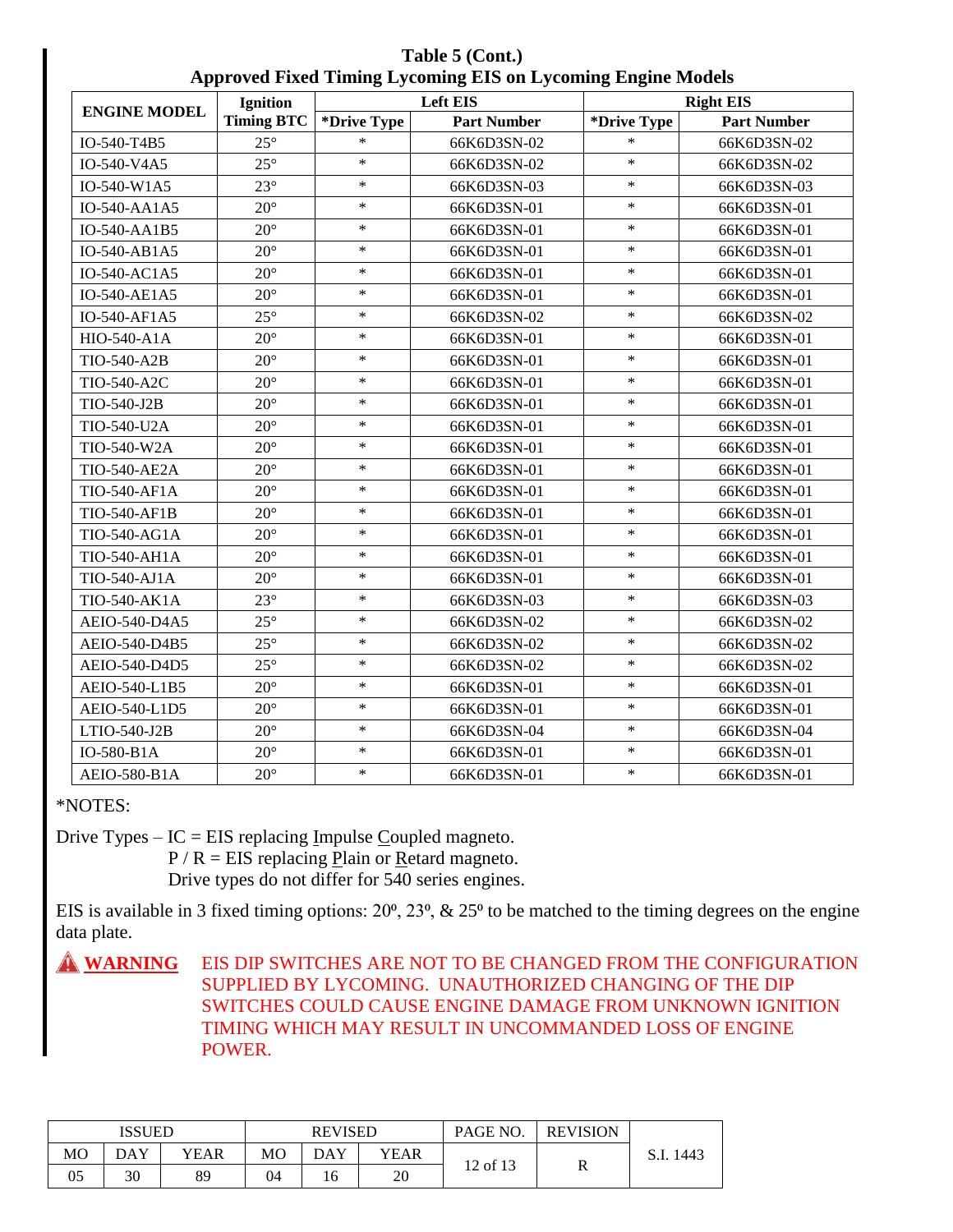**Table 5 (Cont.) Approved Fixed Timing Lycoming EIS on Lycoming Engine Models**

|                     | Ignition          |             | <b>Left EIS</b>    |             | <b>Right EIS</b>   |
|---------------------|-------------------|-------------|--------------------|-------------|--------------------|
| <b>ENGINE MODEL</b> | <b>Timing BTC</b> | *Drive Type | <b>Part Number</b> | *Drive Type | <b>Part Number</b> |
| IO-540-T4B5         | $25^{\circ}$      | $\ast$      | 66K6D3SN-02        | $\ast$      | 66K6D3SN-02        |
| IO-540-V4A5         | $25^{\circ}$      | $\ast$      | 66K6D3SN-02        | $\ast$      | 66K6D3SN-02        |
| IO-540-W1A5         | $23^{\circ}$      | $\ast$      | 66K6D3SN-03        | $\ast$      | 66K6D3SN-03        |
| IO-540-AA1A5        | $20^{\circ}$      | $\ast$      | 66K6D3SN-01        | $\ast$      | 66K6D3SN-01        |
| IO-540-AA1B5        | $20^{\circ}$      | $\ast$      | 66K6D3SN-01        | $\ast$      | 66K6D3SN-01        |
| IO-540-AB1A5        | $20^{\circ}$      | $\ast$      | 66K6D3SN-01        | $\ast$      | 66K6D3SN-01        |
| IO-540-AC1A5        | $20^{\circ}$      | $\ast$      | 66K6D3SN-01        | $\ast$      | 66K6D3SN-01        |
| IO-540-AE1A5        | $20^{\circ}$      | $\ast$      | 66K6D3SN-01        | $\ast$      | 66K6D3SN-01        |
| IO-540-AF1A5        | $25^{\circ}$      | $\ast$      | 66K6D3SN-02        | $\ast$      | 66K6D3SN-02        |
| HIO-540-A1A         | $20^{\circ}$      | $\ast$      | 66K6D3SN-01        | $\ast$      | 66K6D3SN-01        |
| TIO-540-A2B         | $20^{\circ}$      | $\ast$      | 66K6D3SN-01        | $\ast$      | 66K6D3SN-01        |
| TIO-540-A2C         | $20^{\circ}$      | $\ast$      | 66K6D3SN-01        | $\ast$      | 66K6D3SN-01        |
| TIO-540-J2B         | $20^{\circ}$      | $\ast$      | 66K6D3SN-01        | $\ast$      | 66K6D3SN-01        |
| TIO-540-U2A         | $20^{\circ}$      | $\ast$      | 66K6D3SN-01        | $\ast$      | 66K6D3SN-01        |
| TIO-540-W2A         | $20^{\circ}$      | $\ast$      | 66K6D3SN-01        | $\ast$      | 66K6D3SN-01        |
| <b>TIO-540-AE2A</b> | $20^{\circ}$      | $\ast$      | 66K6D3SN-01        | $\ast$      | 66K6D3SN-01        |
| TIO-540-AF1A        | $20^{\circ}$      | $\ast$      | 66K6D3SN-01        | $\ast$      | 66K6D3SN-01        |
| TIO-540-AF1B        | $20^{\circ}$      | $\ast$      | 66K6D3SN-01        | $\ast$      | 66K6D3SN-01        |
| TIO-540-AG1A        | $20^{\circ}$      | $\ast$      | 66K6D3SN-01        | $\ast$      | 66K6D3SN-01        |
| TIO-540-AH1A        | $20^{\circ}$      | $\ast$      | 66K6D3SN-01        | $\ast$      | 66K6D3SN-01        |
| TIO-540-AJ1A        | $20^{\circ}$      | $\ast$      | 66K6D3SN-01        | $\ast$      | 66K6D3SN-01        |
| TIO-540-AK1A        | $23^{\circ}$      | $\ast$      | 66K6D3SN-03        | $\ast$      | 66K6D3SN-03        |
| AEIO-540-D4A5       | $25^{\circ}$      | $\ast$      | 66K6D3SN-02        | $\ast$      | 66K6D3SN-02        |
| AEIO-540-D4B5       | $25^{\circ}$      | $\ast$      | 66K6D3SN-02        | $\ast$      | 66K6D3SN-02        |
| AEIO-540-D4D5       | $25^{\circ}$      | $\ast$      | 66K6D3SN-02        | $\ast$      | 66K6D3SN-02        |
| AEIO-540-L1B5       | $20^{\circ}$      | $\ast$      | 66K6D3SN-01        | $\ast$      | 66K6D3SN-01        |
| AEIO-540-L1D5       | $20^{\circ}$      | $\ast$      | 66K6D3SN-01        | $\ast$      | 66K6D3SN-01        |
| LTIO-540-J2B        | $20^{\circ}$      | $\ast$      | 66K6D3SN-04        | $\ast$      | 66K6D3SN-04        |
| IO-580-B1A          | $20^{\circ}$      | $\ast$      | 66K6D3SN-01        | $\ast$      | 66K6D3SN-01        |
| AEIO-580-B1A        | $20^{\circ}$      | $\ast$      | 66K6D3SN-01        | $\ast$      | 66K6D3SN-01        |

\*NOTES:

Drive Types –  $IC = EIS$  replacing Impulse Coupled magneto.

 $P / R = EIS$  replacing Plain or Retard magneto. Drive types do not differ for 540 series engines.

EIS is available in 3 fixed timing options:  $20^\circ$ ,  $23^\circ$ , &  $25^\circ$  to be matched to the timing degrees on the engine data plate.

**A WARNING** EIS DIP SWITCHES ARE NOT TO BE CHANGED FROM THE CONFIGURATION SUPPLIED BY LYCOMING. UNAUTHORIZED CHANGING OF THE DIP SWITCHES COULD CAUSE ENGINE DAMAGE FROM UNKNOWN IGNITION TIMING WHICH MAY RESULT IN UNCOMMANDED LOSS OF ENGINE POWER.

| <b>ISSUED</b> |     |      | <b>REVISED</b> |            |      | PAGE NO. | <b>REVISION</b> |      |
|---------------|-----|------|----------------|------------|------|----------|-----------------|------|
| MO            | DAY | YEAR | MO             | <b>DAY</b> | YEAR |          | D               | 1443 |
| 05            | 30  | 89   | 04             | 16         | 20   | 12 of 13 | n               |      |